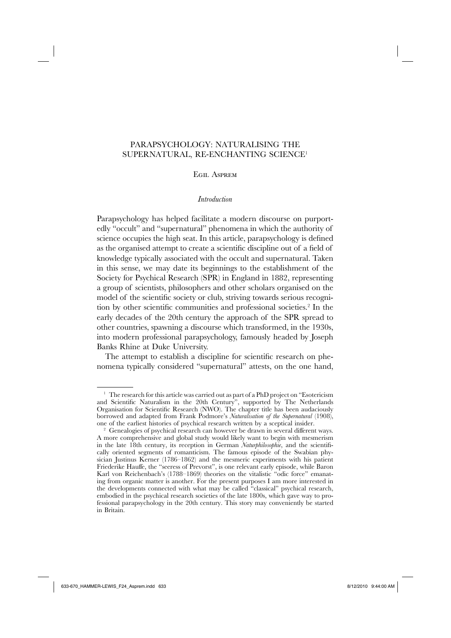# PARAPSYCHOLOGY: NATURALISING THE SUPERNATURAL, RE-ENCHANTING SCIENCE1

#### Egil Asprem

#### *Introduction*

Parapsychology has helped facilitate a modern discourse on purportedly "occult" and "supernatural" phenomena in which the authority of science occupies the high seat. In this article, parapsychology is defined as the organised attempt to create a scientific discipline out of a field of knowledge typically associated with the occult and supernatural. Taken in this sense, we may date its beginnings to the establishment of the Society for Psychical Research (SPR) in England in 1882, representing a group of scientists, philosophers and other scholars organised on the model of the scientific society or club, striving towards serious recognition by other scientific communities and professional societies.<sup>2</sup> In the early decades of the 20th century the approach of the SPR spread to other countries, spawning a discourse which transformed, in the 1930s, into modern professional parapsychology, famously headed by Joseph Banks Rhine at Duke University.

The attempt to establish a discipline for scientific research on phenomena typically considered "supernatural" attests, on the one hand,

<sup>&</sup>lt;sup>1</sup> The research for this article was carried out as part of a PhD project on "Esotericism" and Scientific Naturalism in the 20th Century", supported by The Netherlands Organisation for Scientific Research (NWO). The chapter title has been audaciously borrowed and adapted from Frank Podmore's *Naturalisation of the Supernatural* (1908), one of the earliest histories of psychical research written by a sceptical insider. 2

<sup>&</sup>lt;sup>2</sup> Genealogies of psychical research can however be drawn in several different ways. A more comprehensive and global study would likely want to begin with mesmerism in the late 18th century, its reception in German *Naturphilosophie*, and the scientifically oriented segments of romanticism. The famous episode of the Swabian physician Justinus Kerner (1786–1862) and the mesmeric experiments with his patient Friederike Hauffe, the "seeress of Prevorst", is one relevant early episode, while Baron Karl von Reichenbach's (1788–1869) theories on the vitalistic "odic force" emanating from organic matter is another. For the present purposes I am more interested in the developments connected with what may be called "classical" psychical research, embodied in the psychical research societies of the late 1800s, which gave way to professional parapsychology in the 20th century. This story may conveniently be started in Britain.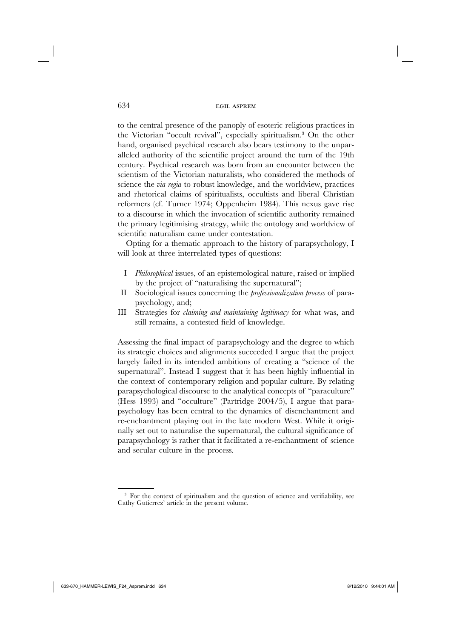to the central presence of the panoply of esoteric religious practices in the Victorian "occult revival", especially spiritualism.3 On the other hand, organised psychical research also bears testimony to the unparalleled authority of the scientific project around the turn of the 19th century. Psychical research was born from an encounter between the scientism of the Victorian naturalists, who considered the methods of science the *via regia* to robust knowledge, and the worldview, practices and rhetorical claims of spiritualists, occultists and liberal Christian reformers (cf. Turner 1974; Oppenheim 1984). This nexus gave rise to a discourse in which the invocation of scientific authority remained the primary legitimising strategy, while the ontology and worldview of scientific naturalism came under contestation.

Opting for a thematic approach to the history of parapsychology, I will look at three interrelated types of questions:

- I *Philosophical* issues, of an epistemological nature, raised or implied by the project of "naturalising the supernatural";
- II Sociological issues concerning the *professionalization process* of parapsychology, and;
- III Strategies for *claiming and maintaining legitimacy* for what was, and still remains, a contested field of knowledge.

Assessing the final impact of parapsychology and the degree to which its strategic choices and alignments succeeded I argue that the project largely failed in its intended ambitions of creating a "science of the supernatural". Instead I suggest that it has been highly influential in the context of contemporary religion and popular culture. By relating parapsychological discourse to the analytical concepts of "paraculture" (Hess 1993) and "occulture" (Partridge 2004/5), I argue that parapsychology has been central to the dynamics of disenchantment and re-enchantment playing out in the late modern West. While it originally set out to naturalise the supernatural, the cultural significance of parapsychology is rather that it facilitated a re-enchantment of science and secular culture in the process.

<sup>&</sup>lt;sup>3</sup> For the context of spiritualism and the question of science and verifiability, see Cathy Gutierrez' article in the present volume.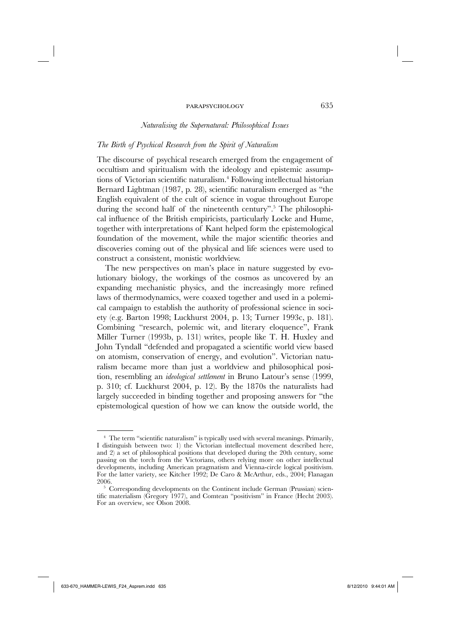#### *Naturalising the Supernatural: Philosophical Issues*

## *The Birth of Psychical Research from the Spirit of Naturalism*

The discourse of psychical research emerged from the engagement of occultism and spiritualism with the ideology and epistemic assumptions of Victorian scientific naturalism.<sup>4</sup> Following intellectual historian Bernard Lightman (1987, p. 28), scientific naturalism emerged as "the English equivalent of the cult of science in vogue throughout Europe during the second half of the nineteenth century".<sup>5</sup> The philosophical influence of the British empiricists, particularly Locke and Hume, together with interpretations of Kant helped form the epistemological foundation of the movement, while the major scientific theories and discoveries coming out of the physical and life sciences were used to construct a consistent, monistic worldview.

The new perspectives on man's place in nature suggested by evolutionary biology, the workings of the cosmos as uncovered by an expanding mechanistic physics, and the increasingly more refined laws of thermodynamics, were coaxed together and used in a polemical campaign to establish the authority of professional science in society (e.g. Barton 1998; Luckhurst 2004, p. 13; Turner 1993c, p. 181). Combining "research, polemic wit, and literary eloquence", Frank Miller Turner (1993b, p. 131) writes, people like T. H. Huxley and John Tyndall "defended and propagated a scientific world view based on atomism, conservation of energy, and evolution". Victorian naturalism became more than just a worldview and philosophical position, resembling an *ideological settlement* in Bruno Latour's sense (1999, p. 310; cf. Luckhurst 2004, p. 12). By the 1870s the naturalists had largely succeeded in binding together and proposing answers for "the epistemological question of how we can know the outside world, the

<sup>4</sup> The term "scientific naturalism" is typically used with several meanings. Primarily, I distinguish between two: 1) the Victorian intellectual movement described here, and 2) a set of philosophical positions that developed during the 20th century, some passing on the torch from the Victorians, others relying more on other intellectual developments, including American pragmatism and Vienna-circle logical positivism. For the latter variety, see Kitcher 1992; De Caro & McArthur, eds., 2004; Flanagan 2006.

<sup>5</sup> Corresponding developments on the Continent include German (Prussian) scientific materialism (Gregory 1977), and Comtean "positivism" in France (Hecht 2003). For an overview, see Olson 2008.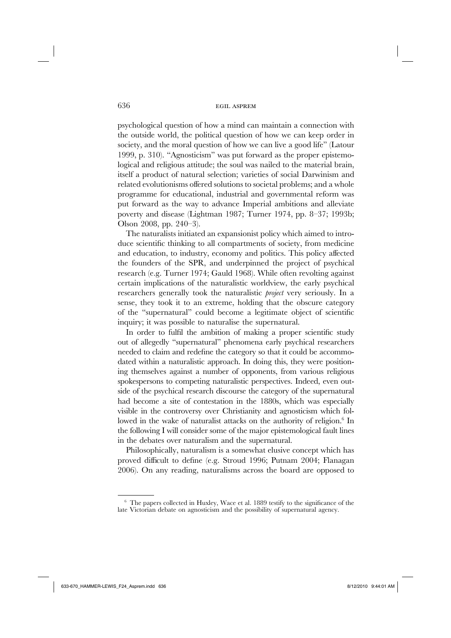psychological question of how a mind can maintain a connection with the outside world, the political question of how we can keep order in society, and the moral question of how we can live a good life" (Latour 1999, p. 310). "Agnosticism" was put forward as the proper epistemological and religious attitude; the soul was nailed to the material brain, itself a product of natural selection; varieties of social Darwinism and related evolutionisms offered solutions to societal problems; and a whole programme for educational, industrial and governmental reform was put forward as the way to advance Imperial ambitions and alleviate poverty and disease (Lightman 1987; Turner 1974, pp. 8–37; 1993b; Olson 2008, pp. 240–3).

The naturalists initiated an expansionist policy which aimed to introduce scientific thinking to all compartments of society, from medicine and education, to industry, economy and politics. This policy affected the founders of the SPR, and underpinned the project of psychical research (e.g. Turner 1974; Gauld 1968). While often revolting against certain implications of the naturalistic worldview, the early psychical researchers generally took the naturalistic *project* very seriously. In a sense, they took it to an extreme, holding that the obscure category of the "supernatural" could become a legitimate object of scientific inquiry; it was possible to naturalise the supernatural.

In order to fulfil the ambition of making a proper scientific study out of allegedly "supernatural" phenomena early psychical researchers needed to claim and redefine the category so that it could be accommodated within a naturalistic approach. In doing this, they were positioning themselves against a number of opponents, from various religious spokespersons to competing naturalistic perspectives. Indeed, even outside of the psychical research discourse the category of the supernatural had become a site of contestation in the 1880s, which was especially visible in the controversy over Christianity and agnosticism which followed in the wake of naturalist attacks on the authority of religion.<sup>6</sup> In the following I will consider some of the major epistemological fault lines in the debates over naturalism and the supernatural.

Philosophically, naturalism is a somewhat elusive concept which has proved difficult to define (e.g. Stroud 1996; Putnam 2004; Flanagan 2006). On any reading, naturalisms across the board are opposed to

<sup>&</sup>lt;sup>6</sup> The papers collected in Huxley, Wace et al. 1889 testify to the significance of the late Victorian debate on agnosticism and the possibility of supernatural agency.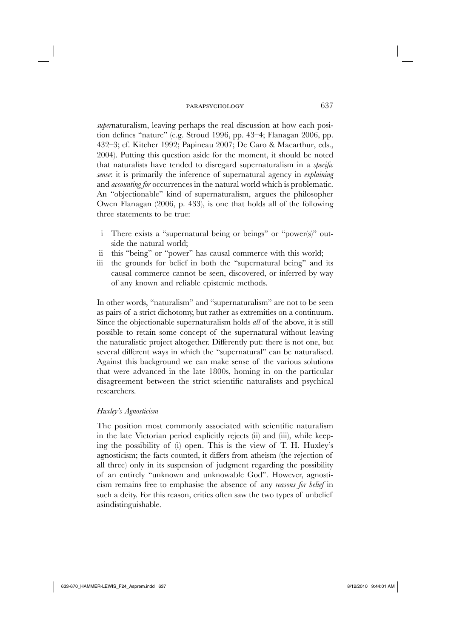*super*naturalism, leaving perhaps the real discussion at how each position defines "nature" (e.g. Stroud 1996, pp. 43–4; Flanagan 2006, pp. 432–3; cf. Kitcher 1992; Papineau 2007; De Caro & Macarthur, eds., 2004). Putting this question aside for the moment, it should be noted that naturalists have tended to disregard supernaturalism in a *specific sense*: it is primarily the inference of supernatural agency in *explaining*  and *accounting for* occurrences in the natural world which is problematic. An "objectionable" kind of supernaturalism, argues the philosopher Owen Flanagan (2006, p. 433), is one that holds all of the following three statements to be true:

- i There exists a "supernatural being or beings" or "power(s)" outside the natural world;
- ii this "being" or "power" has causal commerce with this world;
- iii the grounds for belief in both the "supernatural being" and its causal commerce cannot be seen, discovered, or inferred by way of any known and reliable epistemic methods.

In other words, "naturalism" and "supernaturalism" are not to be seen as pairs of a strict dichotomy, but rather as extremities on a continuum. Since the objectionable supernaturalism holds *all* of the above, it is still possible to retain some concept of the supernatural without leaving the naturalistic project altogether. Differently put: there is not one, but several different ways in which the "supernatural" can be naturalised. Against this background we can make sense of the various solutions that were advanced in the late 1800s, homing in on the particular disagreement between the strict scientific naturalists and psychical researchers.

#### *Huxley's Agnosticism*

The position most commonly associated with scientific naturalism in the late Victorian period explicitly rejects (ii) and (iii), while keeping the possibility of (i) open. This is the view of T. H. Huxley's agnosticism; the facts counted, it differs from atheism (the rejection of all three) only in its suspension of judgment regarding the possibility of an entirely "unknown and unknowable God". However, agnosticism remains free to emphasise the absence of any *reasons for belief* in such a deity. For this reason, critics often saw the two types of unbelief as indistinguishable.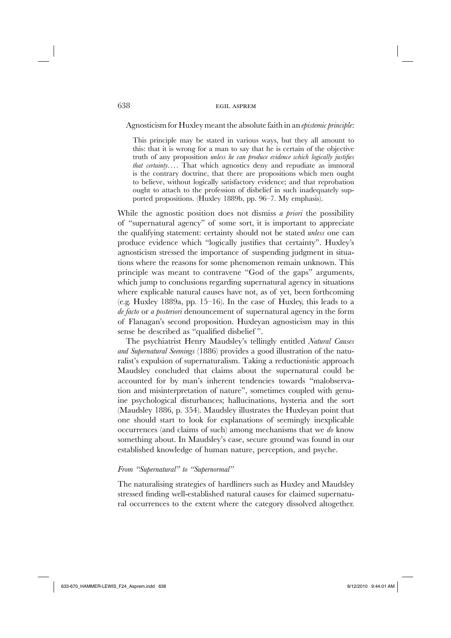Agnosticism for Huxley meant the absolute faith in an *epistemic principle*:

This principle may be stated in various ways, but they all amount to this: that it is wrong for a man to say that he is certain of the objective truth of any proposition *unless he can produce evidence which logically justifies that certainty....* That which agnostics deny and repudiate as immoral is the contrary doctrine, that there are propositions which men ought to believe, without logically satisfactory evidence; and that reprobation ought to attach to the profession of disbelief in such inadequately supported propositions. (Huxley 1889b, pp. 96–7. My emphasis).

While the agnostic position does not dismiss *a priori* the possibility of "supernatural agency" of some sort, it is important to appreciate the qualifying statement: certainty should not be stated *unless* one can produce evidence which "logically justifies that certainty". Huxley's agnosticism stressed the importance of suspending judgment in situations where the reasons for some phenomenon remain unknown. This principle was meant to contravene "God of the gaps" arguments, which jump to conclusions regarding supernatural agency in situations where explicable natural causes have not, as of yet, been forthcoming (e.g. Huxley 1889a, pp. 15–16). In the case of Huxley, this leads to a *de facto* or *a posteriori* denouncement of supernatural agency in the form of Flanagan's second proposition. Huxleyan agnosticism may in this sense be described as "qualified disbelief ".

The psychiatrist Henry Maudsley's tellingly entitled *Natural Causes and Supernatural Seemings* (1886) provides a good illustration of the naturalist's expulsion of supernaturalism. Taking a reductionistic approach Maudsley concluded that claims about the supernatural could be accounted for by man's inherent tendencies towards "malobservation and misinterpretation of nature", sometimes coupled with genuine psychological disturbances; hallucinations, hysteria and the sort (Maudsley 1886, p. 354). Maudsley illustrates the Huxleyan point that one should start to look for explanations of seemingly inexplicable occurrences (and claims of such) among mechanisms that we *do* know something about. In Maudsley's case, secure ground was found in our established knowledge of human nature, perception, and psyche.

#### *From "Supernatural" to "Supernormal"*

The naturalising strategies of hardliners such as Huxley and Maudsley stressed finding well-established natural causes for claimed supernatural occurrences to the extent where the category dissolved altogether.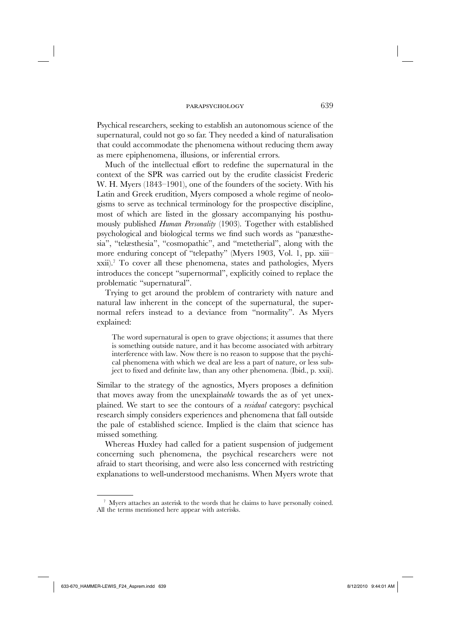Psychical researchers, seeking to establish an autonomous science of the supernatural, could not go so far. They needed a kind of naturalisation that could accommodate the phenomena without reducing them away as mere epiphenomena, illusions, or inferential errors.

Much of the intellectual effort to redefine the supernatural in the context of the SPR was carried out by the erudite classicist Frederic W. H. Myers (1843–1901), one of the founders of the society. With his Latin and Greek erudition, Myers composed a whole regime of neologisms to serve as technical terminology for the prospective discipline, most of which are listed in the glossary accompanying his posthumously published *Human Personality* (1903). Together with established psychological and biological terms we find such words as "panæsthesia", "telæsthesia", "cosmopathic", and "metetherial", along with the more enduring concept of "telepathy" (Myers 1903, Vol. 1, pp. xiii– xxii).<sup>7</sup> To cover all these phenomena, states and pathologies, Myers introduces the concept "supernormal", explicitly coined to replace the problematic "supernatural".

Trying to get around the problem of contrariety with nature and natural law inherent in the concept of the supernatural, the supernormal refers instead to a deviance from "normality". As Myers explained:

The word supernatural is open to grave objections; it assumes that there is something outside nature, and it has become associated with arbitrary interference with law. Now there is no reason to suppose that the psychical phenomena with which we deal are less a part of nature, or less subject to fixed and definite law, than any other phenomena. (Ibid., p. xxii).

Similar to the strategy of the agnostics, Myers proposes a definition that moves away from the unexplain*able* towards the as of yet unexplained. We start to see the contours of a *residual* category: psychical research simply considers experiences and phenomena that fall outside the pale of established science. Implied is the claim that science has missed something.

Whereas Huxley had called for a patient suspension of judgement concerning such phenomena, the psychical researchers were not afraid to start theorising, and were also less concerned with restricting explanations to well-understood mechanisms. When Myers wrote that

<sup>&</sup>lt;sup>7</sup> Myers attaches an asterisk to the words that he claims to have personally coined. All the terms mentioned here appear with asterisks.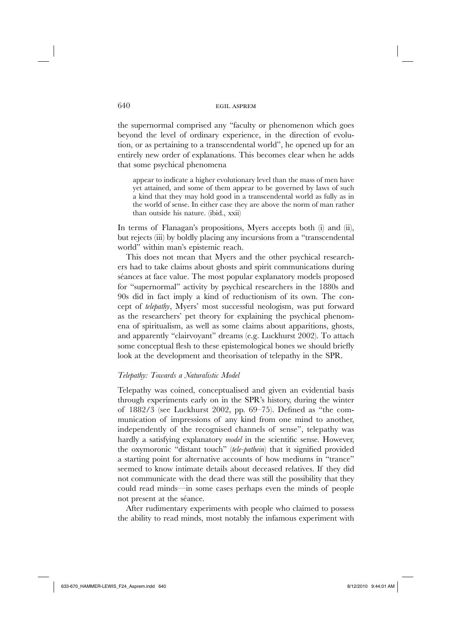the supernormal comprised any "faculty or phenomenon which goes beyond the level of ordinary experience, in the direction of evolution, or as pertaining to a transcendental world", he opened up for an entirely new order of explanations. This becomes clear when he adds that some psychical phenomena

appear to indicate a higher evolutionary level than the mass of men have yet attained, and some of them appear to be governed by laws of such a kind that they may hold good in a transcendental world as fully as in the world of sense. In either case they are above the norm of man rather than outside his nature. (ibid., xxii)

In terms of Flanagan's propositions, Myers accepts both (i) and (ii), but rejects (iii) by boldly placing any incursions from a "transcendental world" within man's epistemic reach.

This does not mean that Myers and the other psychical researchers had to take claims about ghosts and spirit communications during séances at face value. The most popular explanatory models proposed for "supernormal" activity by psychical researchers in the 1880s and 90s did in fact imply a kind of reductionism of its own. The concept of *telepathy*, Myers' most successful neologism, was put forward as the researchers' pet theory for explaining the psychical phenomena of spiritualism, as well as some claims about apparitions, ghosts, and apparently "clairvoyant" dreams (e.g. Luckhurst 2002). To attach some conceptual flesh to these epistemological bones we should briefly look at the development and theorisation of telepathy in the SPR.

#### *Telepathy: Towards a Naturalistic Model*

Telepathy was coined, conceptualised and given an evidential basis through experiments early on in the SPR's history, during the winter of 1882/3 (see Luckhurst 2002, pp. 69–75). Defined as "the communication of impressions of any kind from one mind to another, independently of the recognised channels of sense", telepathy was hardly a satisfying explanatory *model* in the scientific sense. However, the oxymoronic "distant touch" (*tele-pathein*) that it signified provided a starting point for alternative accounts of how mediums in "trance" seemed to know intimate details about deceased relatives. If they did not communicate with the dead there was still the possibility that they could read minds—in some cases perhaps even the minds of people not present at the séance.

After rudimentary experiments with people who claimed to possess the ability to read minds, most notably the infamous experiment with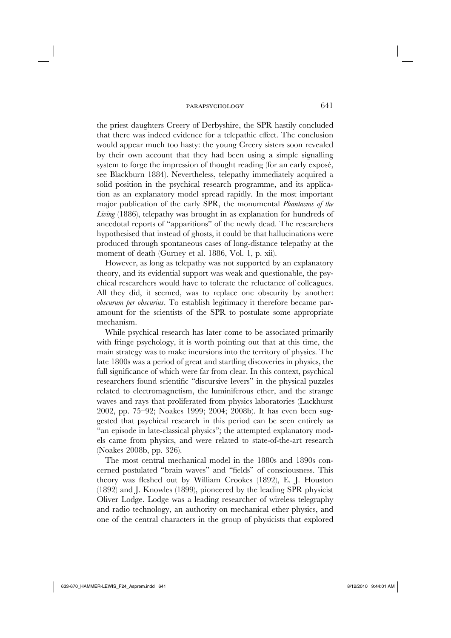the priest daughters Creery of Derbyshire, the SPR hastily concluded that there was indeed evidence for a telepathic effect. The conclusion would appear much too hasty: the young Creery sisters soon revealed by their own account that they had been using a simple signalling system to forge the impression of thought reading (for an early exposé, see Blackburn 1884). Nevertheless, telepathy immediately acquired a solid position in the psychical research programme, and its application as an explanatory model spread rapidly. In the most important major publication of the early SPR, the monumental *Phantasms of the Living* (1886), telepathy was brought in as explanation for hundreds of anecdotal reports of "apparitions" of the newly dead. The researchers hypothesised that instead of ghosts, it could be that hallucinations were produced through spontaneous cases of long-distance telepathy at the moment of death (Gurney et al. 1886, Vol. 1, p. xii).

However, as long as telepathy was not supported by an explanatory theory, and its evidential support was weak and questionable, the psychical researchers would have to tolerate the reluctance of colleagues. All they did, it seemed, was to replace one obscurity by another: *obscurum per obscurius*. To establish legitimacy it therefore became paramount for the scientists of the SPR to postulate some appropriate mechanism.

While psychical research has later come to be associated primarily with fringe psychology, it is worth pointing out that at this time, the main strategy was to make incursions into the territory of physics. The late 1800s was a period of great and startling discoveries in physics, the full significance of which were far from clear. In this context, psychical researchers found scientific "discursive levers" in the physical puzzles related to electromagnetism, the luminiferous ether, and the strange waves and rays that proliferated from physics laboratories (Luckhurst 2002, pp. 75–92; Noakes 1999; 2004; 2008b). It has even been suggested that psychical research in this period can be seen entirely as "an episode in late-classical physics"; the attempted explanatory models came from physics, and were related to state-of-the-art research (Noakes 2008b, pp. 326).

The most central mechanical model in the 1880s and 1890s concerned postulated "brain waves" and "fields" of consciousness. This theory was fleshed out by William Crookes (1892), E. J. Houston (1892) and J. Knowles (1899), pioneered by the leading SPR physicist Oliver Lodge. Lodge was a leading researcher of wireless telegraphy and radio technology, an authority on mechanical ether physics, and one of the central characters in the group of physicists that explored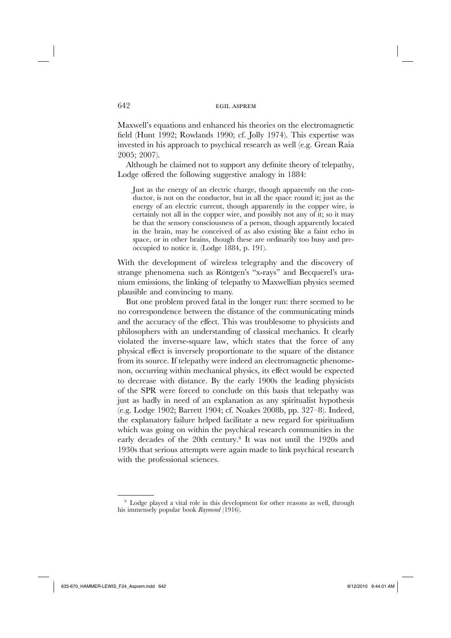Maxwell's equations and enhanced his theories on the electromagnetic field (Hunt 1992; Rowlands 1990; cf. Jolly 1974). This expertise was invested in his approach to psychical research as well (e.g. Grean Raia 2005; 2007).

Although he claimed not to support any definite theory of telepathy, Lodge offered the following suggestive analogy in 1884:

Just as the energy of an electric charge, though apparently on the conductor, is not on the conductor, but in all the space round it; just as the energy of an electric current, though apparently in the copper wire, is certainly not all in the copper wire, and possibly not any of it; so it may be that the sensory consciousness of a person, though apparently located in the brain, may be conceived of as also existing like a faint echo in space, or in other brains, though these are ordinarily too busy and preoccupied to notice it. (Lodge 1884, p. 191).

With the development of wireless telegraphy and the discovery of strange phenomena such as Röntgen's "x-rays" and Becquerel's uranium emissions, the linking of telepathy to Maxwellian physics seemed plausible and convincing to many.

But one problem proved fatal in the longer run: there seemed to be no correspondence between the distance of the communicating minds and the accuracy of the effect. This was troublesome to physicists and philosophers with an understanding of classical mechanics. It clearly violated the inverse-square law, which states that the force of any physical effect is inversely proportionate to the square of the distance from its source. If telepathy were indeed an electromagnetic phenomenon, occurring within mechanical physics, its effect would be expected to decrease with distance. By the early 1900s the leading physicists of the SPR were forced to conclude on this basis that telepathy was just as badly in need of an explanation as any spiritualist hypothesis (e.g. Lodge 1902; Barrett 1904; cf. Noakes 2008b, pp. 327–8). Indeed, the explanatory failure helped facilitate a new regard for spiritualism which was going on within the psychical research communities in the early decades of the 20th century.<sup>8</sup> It was not until the 1920s and 1930s that serious attempts were again made to link psychical research with the professional sciences.

<sup>&</sup>lt;sup>8</sup> Lodge played a vital role in this development for other reasons as well, through his immensely popular book *Raymond* (1916).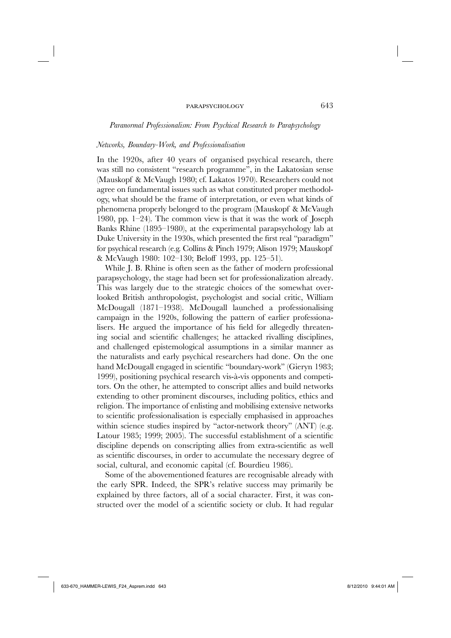#### *Paranormal Professionalism: From Psychical Research to Parapsychology*

#### *Networks, Boundary-Work, and Professionalisation*

In the 1920s, after 40 years of organised psychical research, there was still no consistent "research programme", in the Lakatosian sense (Mauskopf & McVaugh 1980; cf. Lakatos 1970). Researchers could not agree on fundamental issues such as what constituted proper methodology, what should be the frame of interpretation, or even what kinds of phenomena properly belonged to the program (Mauskopf & McVaugh 1980, pp. 1–24). The common view is that it was the work of Joseph Banks Rhine (1895–1980), at the experimental parapsychology lab at Duke University in the 1930s, which presented the first real "paradigm" for psychical research (e.g. Collins & Pinch 1979; Alison 1979; Mauskopf & McVaugh 1980: 102–130; Beloff 1993, pp. 125–51).

While J. B. Rhine is often seen as the father of modern professional parapsychology, the stage had been set for professionalization already. This was largely due to the strategic choices of the somewhat overlooked British anthropologist, psychologist and social critic, William McDougall (1871–1938). McDougall launched a professionalising campaign in the 1920s, following the pattern of earlier professionalisers. He argued the importance of his field for allegedly threatening social and scientific challenges; he attacked rivalling disciplines, and challenged epistemological assumptions in a similar manner as the naturalists and early psychical researchers had done. On the one hand McDougall engaged in scientific "boundary-work" (Gieryn 1983; 1999), positioning psychical research vis-à-vis opponents and competitors. On the other, he attempted to conscript allies and build networks extending to other prominent discourses, including politics, ethics and religion. The importance of enlisting and mobilising extensive networks to scientific professionalisation is especially emphasised in approaches within science studies inspired by "actor-network theory" (ANT) (e.g. Latour 1985; 1999; 2005). The successful establishment of a scientific discipline depends on conscripting allies from extra-scientific as well as scientific discourses, in order to accumulate the necessary degree of social, cultural, and economic capital (cf. Bourdieu 1986).

Some of the abovementioned features are recognisable already with the early SPR. Indeed, the SPR's relative success may primarily be explained by three factors, all of a social character. First, it was constructed over the model of a scientific society or club. It had regular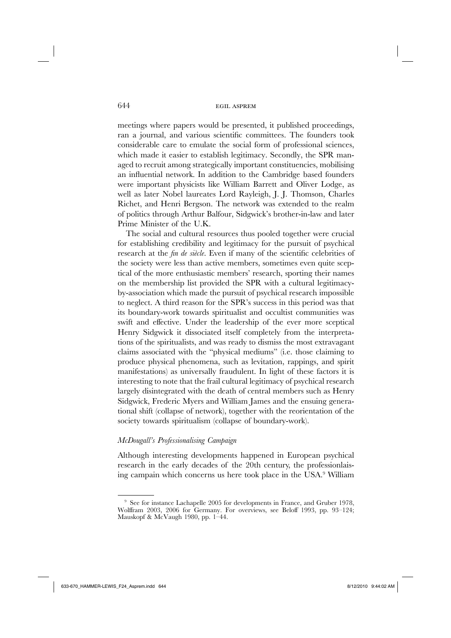meetings where papers would be presented, it published proceedings, ran a journal, and various scientific committees. The founders took considerable care to emulate the social form of professional sciences, which made it easier to establish legitimacy. Secondly, the SPR managed to recruit among strategically important constituencies, mobilising an influential network. In addition to the Cambridge based founders were important physicists like William Barrett and Oliver Lodge, as well as later Nobel laureates Lord Rayleigh, J. J. Thomson, Charles Richet, and Henri Bergson. The network was extended to the realm of politics through Arthur Balfour, Sidgwick's brother-in-law and later Prime Minister of the U.K.

The social and cultural resources thus pooled together were crucial for establishing credibility and legitimacy for the pursuit of psychical research at the *fin de siècle*. Even if many of the scientific celebrities of the society were less than active members, sometimes even quite sceptical of the more enthusiastic members' research, sporting their names on the membership list provided the SPR with a cultural legitimacyby-association which made the pursuit of psychical research impossible to neglect. A third reason for the SPR's success in this period was that its boundary-work towards spiritualist and occultist communities was swift and effective. Under the leadership of the ever more sceptical Henry Sidgwick it dissociated itself completely from the interpretations of the spiritualists, and was ready to dismiss the most extravagant claims associated with the "physical mediums" (i.e. those claiming to produce physical phenomena, such as levitation, rappings, and spirit manifestations) as universally fraudulent. In light of these factors it is interesting to note that the frail cultural legitimacy of psychical research largely disintegrated with the death of central members such as Henry Sidgwick, Frederic Myers and William James and the ensuing generational shift (collapse of network), together with the reorientation of the society towards spiritualism (collapse of boundary-work).

#### *McDougall's Professionalising Campaign*

Although interesting developments happened in European psychical research in the early decades of the 20th century, the professionlaising campain which concerns us here took place in the USA.9 William

<sup>&</sup>lt;sup>9</sup> See for instance Lachapelle 2005 for developments in France, and Gruber 1978, Wolffram 2003, 2006 for Germany. For overviews, see Beloff 1993, pp. 93–124; Mauskopf & McVaugh 1980, pp. 1–44.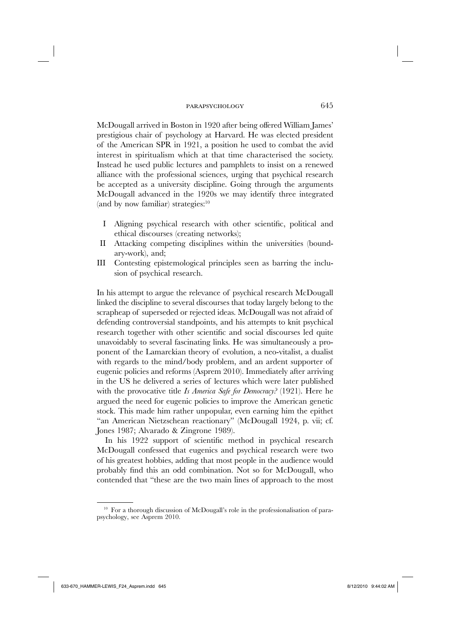McDougall arrived in Boston in 1920 after being offered William James' prestigious chair of psychology at Harvard. He was elected president of the American SPR in 1921, a position he used to combat the avid interest in spiritualism which at that time characterised the society. Instead he used public lectures and pamphlets to insist on a renewed alliance with the professional sciences, urging that psychical research be accepted as a university discipline. Going through the arguments McDougall advanced in the 1920s we may identify three integrated (and by now familiar) strategies: $10$ 

- I Aligning psychical research with other scientific, political and ethical discourses (creating networks);
- II Attacking competing disciplines within the universities (boundary-work), and;
- III Contesting epistemological principles seen as barring the inclusion of psychical research.

In his attempt to argue the relevance of psychical research McDougall linked the discipline to several discourses that today largely belong to the scrapheap of superseded or rejected ideas. McDougall was not afraid of defending controversial standpoints, and his attempts to knit psychical research together with other scientific and social discourses led quite unavoidably to several fascinating links. He was simultaneously a proponent of the Lamarckian theory of evolution, a neo-vitalist, a dualist with regards to the mind/body problem, and an ardent supporter of eugenic policies and reforms (Asprem 2010). Immediately after arriving in the US he delivered a series of lectures which were later published with the provocative title *Is America Safe for Democracy?* (1921). Here he argued the need for eugenic policies to improve the American genetic stock. This made him rather unpopular, even earning him the epithet "an American Nietzschean reactionary" (McDougall 1924, p. vii; cf. Jones 1987; Alvarado & Zingrone 1989).

In his 1922 support of scientific method in psychical research McDougall confessed that eugenics and psychical research were two of his greatest hobbies, adding that most people in the audience would probably find this an odd combination. Not so for McDougall, who contended that "these are the two main lines of approach to the most

<sup>&</sup>lt;sup>10</sup> For a thorough discussion of McDougall's role in the professionalisation of parapsychology, see Asprem 2010.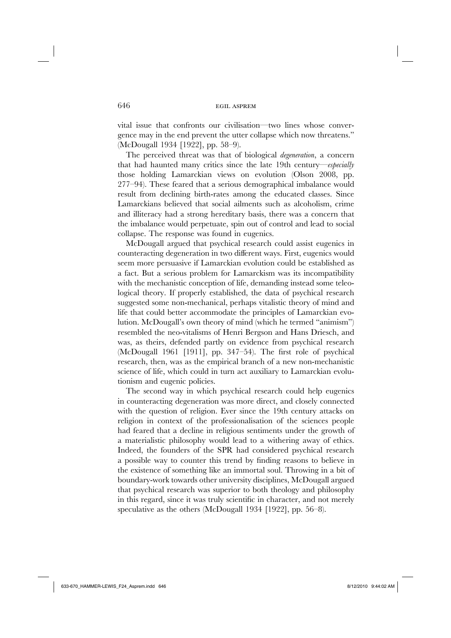vital issue that confronts our civilisation—two lines whose convergence may in the end prevent the utter collapse which now threatens." (McDougall 1934 [1922], pp. 58–9).

The perceived threat was that of biological *degeneration*, a concern that had haunted many critics since the late 19th century—*especially* those holding Lamarckian views on evolution (Olson 2008, pp. 277–94). These feared that a serious demographical imbalance would result from declining birth-rates among the educated classes. Since Lamarckians believed that social ailments such as alcoholism, crime and illiteracy had a strong hereditary basis, there was a concern that the imbalance would perpetuate, spin out of control and lead to social collapse. The response was found in eugenics.

McDougall argued that psychical research could assist eugenics in counteracting degeneration in two different ways. First, eugenics would seem more persuasive if Lamarckian evolution could be established as a fact. But a serious problem for Lamarckism was its incompatibility with the mechanistic conception of life, demanding instead some teleological theory. If properly established, the data of psychical research suggested some non-mechanical, perhaps vitalistic theory of mind and life that could better accommodate the principles of Lamarckian evolution. McDougall's own theory of mind (which he termed "animism") resembled the neo-vitalisms of Henri Bergson and Hans Driesch, and was, as theirs, defended partly on evidence from psychical research (McDougall 1961 [1911], pp. 347–54). The first role of psychical research, then, was as the empirical branch of a new non-mechanistic science of life, which could in turn act auxiliary to Lamarckian evolutionism and eugenic policies.

The second way in which psychical research could help eugenics in counteracting degeneration was more direct, and closely connected with the question of religion. Ever since the 19th century attacks on religion in context of the professionalisation of the sciences people had feared that a decline in religious sentiments under the growth of a materialistic philosophy would lead to a withering away of ethics. Indeed, the founders of the SPR had considered psychical research a possible way to counter this trend by finding reasons to believe in the existence of something like an immortal soul. Throwing in a bit of boundary-work towards other university disciplines, McDougall argued that psychical research was superior to both theology and philosophy in this regard, since it was truly scientific in character, and not merely speculative as the others (McDougall 1934 [1922], pp. 56–8).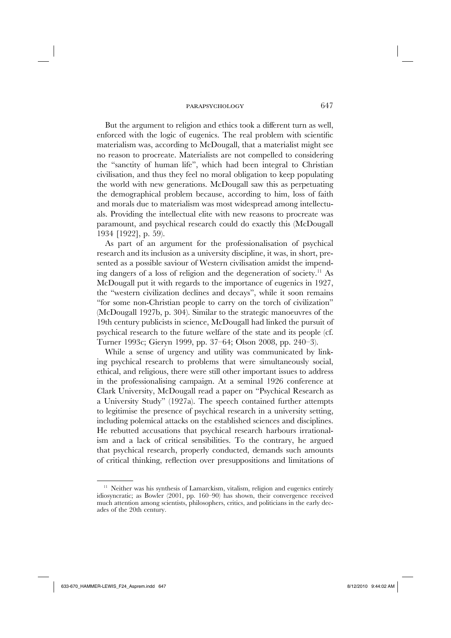But the argument to religion and ethics took a different turn as well, enforced with the logic of eugenics. The real problem with scientific materialism was, according to McDougall, that a materialist might see no reason to procreate. Materialists are not compelled to considering the "sanctity of human life", which had been integral to Christian civilisation, and thus they feel no moral obligation to keep populating the world with new generations. McDougall saw this as perpetuating the demographical problem because, according to him, loss of faith and morals due to materialism was most widespread among intellectuals. Providing the intellectual elite with new reasons to procreate was paramount, and psychical research could do exactly this (McDougall 1934 [1922], p. 59).

As part of an argument for the professionalisation of psychical research and its inclusion as a university discipline, it was, in short, presented as a possible saviour of Western civilisation amidst the impending dangers of a loss of religion and the degeneration of society.11 As McDougall put it with regards to the importance of eugenics in 1927, the "western civilization declines and decays", while it soon remains "for some non-Christian people to carry on the torch of civilization" (McDougall 1927b, p. 304). Similar to the strategic manoeuvres of the 19th century publicists in science, McDougall had linked the pursuit of psychical research to the future welfare of the state and its people (cf. Turner 1993c; Gieryn 1999, pp. 37–64; Olson 2008, pp. 240–3).

While a sense of urgency and utility was communicated by linking psychical research to problems that were simultaneously social, ethical, and religious, there were still other important issues to address in the professionalising campaign. At a seminal 1926 conference at Clark University, McDougall read a paper on "Psychical Research as a University Study" (1927a). The speech contained further attempts to legitimise the presence of psychical research in a university setting, including polemical attacks on the established sciences and disciplines. He rebutted accusations that psychical research harbours irrationalism and a lack of critical sensibilities. To the contrary, he argued that psychical research, properly conducted, demands such amounts of critical thinking, reflection over presuppositions and limitations of

<sup>&</sup>lt;sup>11</sup> Neither was his synthesis of Lamarckism, vitalism, religion and eugenics entirely idiosyncratic; as Bowler (2001, pp. 160–90) has shown, their convergence received much attention among scientists, philosophers, critics, and politicians in the early decades of the 20th century.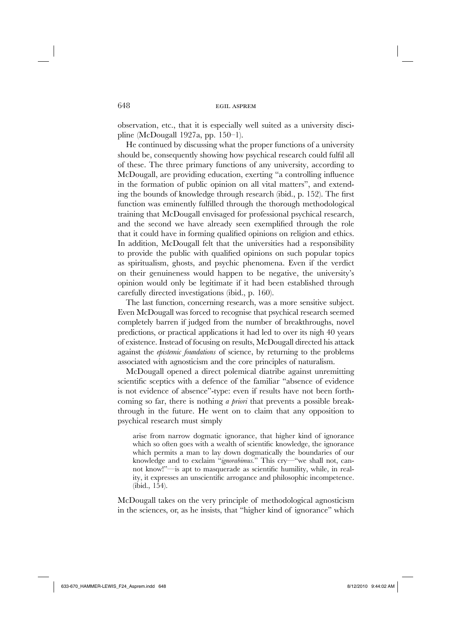observation, etc., that it is especially well suited as a university discipline (McDougall 1927a, pp. 150–1).

He continued by discussing what the proper functions of a university should be, consequently showing how psychical research could fulfil all of these. The three primary functions of any university, according to McDougall, are providing education, exerting "a controlling influence in the formation of public opinion on all vital matters", and extending the bounds of knowledge through research (ibid., p. 152). The first function was eminently fulfilled through the thorough methodological training that McDougall envisaged for professional psychical research, and the second we have already seen exemplified through the role that it could have in forming qualified opinions on religion and ethics. In addition, McDougall felt that the universities had a responsibility to provide the public with qualified opinions on such popular topics as spiritualism, ghosts, and psychic phenomena. Even if the verdict on their genuineness would happen to be negative, the university's opinion would only be legitimate if it had been established through carefully directed investigations (ibid., p. 160).

The last function, concerning research, was a more sensitive subject. Even McDougall was forced to recognise that psychical research seemed completely barren if judged from the number of breakthroughs, novel predictions, or practical applications it had led to over its nigh 40 years of existence. Instead of focusing on results, McDougall directed his attack against the *epistemic foundations* of science, by returning to the problems associated with agnosticism and the core principles of naturalism.

McDougall opened a direct polemical diatribe against unremitting scientific sceptics with a defence of the familiar "absence of evidence is not evidence of absence"-type: even if results have not been forthcoming so far, there is nothing *a priori* that prevents a possible breakthrough in the future. He went on to claim that any opposition to psychical research must simply

arise from narrow dogmatic ignorance, that higher kind of ignorance which so often goes with a wealth of scientific knowledge, the ignorance which permits a man to lay down dogmatically the boundaries of our knowledge and to exclaim "*ignorabimus.*" This cry—"we shall not, cannot know!"—is apt to masquerade as scientific humility, while, in reality, it expresses an unscientific arrogance and philosophic incompetence. (ibid., 154).

McDougall takes on the very principle of methodological agnosticism in the sciences, or, as he insists, that "higher kind of ignorance" which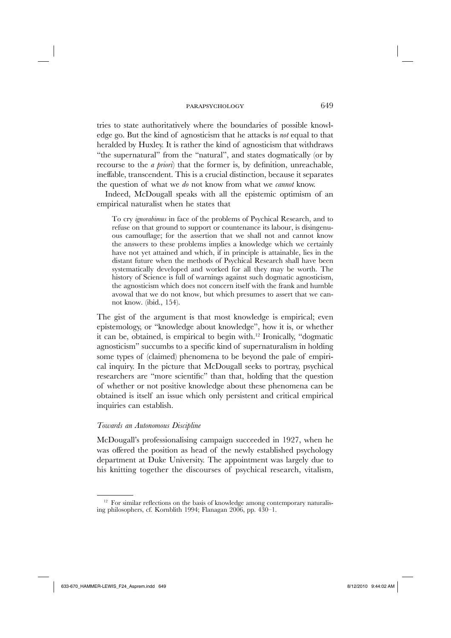tries to state authoritatively where the boundaries of possible knowledge go. But the kind of agnosticism that he attacks is *not* equal to that heralded by Huxley. It is rather the kind of agnosticism that withdraws "the supernatural" from the "natural", and states dogmatically (or by recourse to the *a priori*) that the former is, by definition, unreachable, ineffable, transcendent. This is a crucial distinction, because it separates the question of what we *do* not know from what we *cannot* know.

Indeed, McDougall speaks with all the epistemic optimism of an empirical naturalist when he states that

To cry *ignorabimus* in face of the problems of Psychical Research, and to refuse on that ground to support or countenance its labour, is disingenuous camouflage; for the assertion that we shall not and cannot know the answers to these problems implies a knowledge which we certainly have not yet attained and which, if in principle is attainable, lies in the distant future when the methods of Psychical Research shall have been systematically developed and worked for all they may be worth. The history of Science is full of warnings against such dogmatic agnosticism, the agnosticism which does not concern itself with the frank and humble avowal that we do not know, but which presumes to assert that we cannot know. (ibid., 154).

The gist of the argument is that most knowledge is empirical; even epistemology, or "knowledge about knowledge", how it is, or whether it can be, obtained, is empirical to begin with.12 Ironically, "dogmatic agnosticism" succumbs to a specific kind of supernaturalism in holding some types of (claimed) phenomena to be beyond the pale of empirical inquiry. In the picture that McDougall seeks to portray, psychical researchers are "more scientific" than that, holding that the question of whether or not positive knowledge about these phenomena can be obtained is itself an issue which only persistent and critical empirical inquiries can establish.

#### *Towards an Autonomous Discipline*

McDougall's professionalising campaign succeeded in 1927, when he was offered the position as head of the newly established psychology department at Duke University. The appointment was largely due to his knitting together the discourses of psychical research, vitalism,

<sup>&</sup>lt;sup>12</sup> For similar reflections on the basis of knowledge among contemporary naturalising philosophers, cf. Kornblith 1994; Flanagan 2006, pp. 430–1.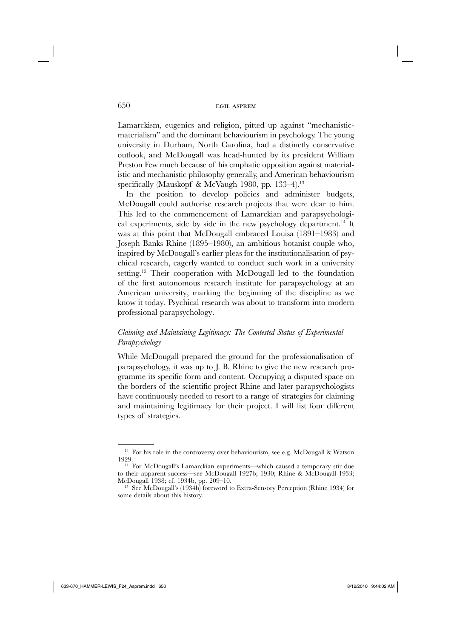# 650 egil asprem

Lamarckism, eugenics and religion, pitted up against "mechanisticmaterialism" and the dominant behaviourism in psychology. The young university in Durham, North Carolina, had a distinctly conservative outlook, and McDougall was head-hunted by its president William Preston Few much because of his emphatic opposition against materialistic and mechanistic philosophy generally, and American behaviourism specifically (Mauskopf & McVaugh 1980, pp. 133–4).<sup>13</sup>

In the position to develop policies and administer budgets, McDougall could authorise research projects that were dear to him. This led to the commencement of Lamarckian and parapsychological experiments, side by side in the new psychology department.<sup>14</sup> It was at this point that McDougall embraced Louisa (1891–1983) and Joseph Banks Rhine (1895–1980), an ambitious botanist couple who, inspired by McDougall's earlier pleas for the institutionalisation of psychical research, eagerly wanted to conduct such work in a university setting.15 Their cooperation with McDougall led to the foundation of the first autonomous research institute for parapsychology at an American university, marking the beginning of the discipline as we know it today. Psychical research was about to transform into modern professional parapsychology.

# *Claiming and Maintaining Legitimacy: The Contested Status of Experimental Parapsychology*

While McDougall prepared the ground for the professionalisation of parapsychology, it was up to J. B. Rhine to give the new research programme its specific form and content. Occupying a disputed space on the borders of the scientific project Rhine and later parapsychologists have continuously needed to resort to a range of strategies for claiming and maintaining legitimacy for their project. I will list four different types of strategies.

 $^{13}$  For his role in the controversy over behaviourism, see e.g. McDougall & Watson 1929.

<sup>&</sup>lt;sup>14</sup> For McDougall's Lamarckian experiments—which caused a temporary stir due to their apparent success—see McDougall 1927b; 1930; Rhine & McDougall 1933; McDougall 1938; cf. 1934b, pp. 209–10.

<sup>&</sup>lt;sup>15</sup> See McDougall's (1934b) foreword to Extra-Sensory Perception (Rhine 1934) for some details about this history.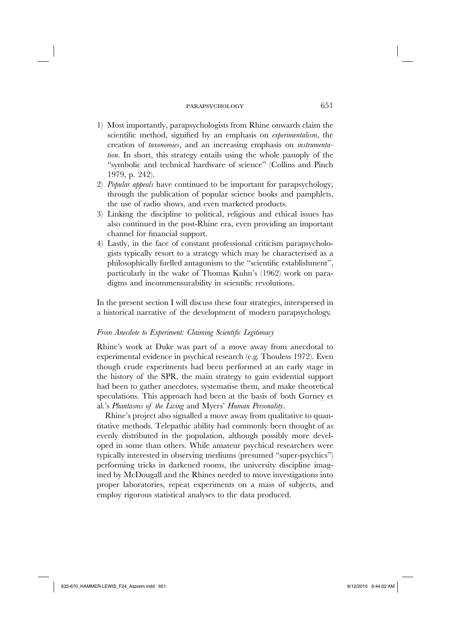- 1) Most importantly, parapsychologists from Rhine onwards claim the scientific method, signified by an emphasis on *experimentalism*, the creation of *taxonomies*, and an increasing emphasis on *instrumentation*. In short, this strategy entails using the whole panoply of the "symbolic and technical hardware of science" (Collins and Pinch 1979, p. 242).
- 2) *Popular appeals* have continued to be important for parapsychology, through the publication of popular science books and pamphlets, the use of radio shows, and even marketed products.
- 3) Linking the discipline to political, religious and ethical issues has also continued in the post-Rhine era, even providing an important channel for financial support.
- 4) Lastly, in the face of constant professional criticism parapsychologists typically resort to a strategy which may be characterised as a philosophically fuelled antagonism to the "scientific establishment", particularly in the wake of Thomas Kuhn's (1962) work on paradigms and incommensurability in scientific revolutions.

In the present section I will discuss these four strategies, interspersed in a historical narrative of the development of modern parapsychology.

#### *From Anecdote to Experiment: Claiming Scientific Legitimacy*

Rhine's work at Duke was part of a move away from anecdotal to experimental evidence in psychical research (e.g. Thouless 1972). Even though crude experiments had been performed at an early stage in the history of the SPR, the main strategy to gain evidential support had been to gather anecdotes, systematise them, and make theoretical speculations. This approach had been at the basis of both Gurney et al.'s *Phantasms of the Living* and Myers' *Human Personality*.

Rhine's project also signalled a move away from qualitative to quantitative methods. Telepathic ability had commonly been thought of as evenly distributed in the population, although possibly more developed in some than others. While amateur psychical researchers were typically interested in observing mediums (presumed "super-psychics") performing tricks in darkened rooms, the university discipline imagined by McDougall and the Rhines needed to move investigations into proper laboratories, repeat experiments on a mass of subjects, and employ rigorous statistical analyses to the data produced.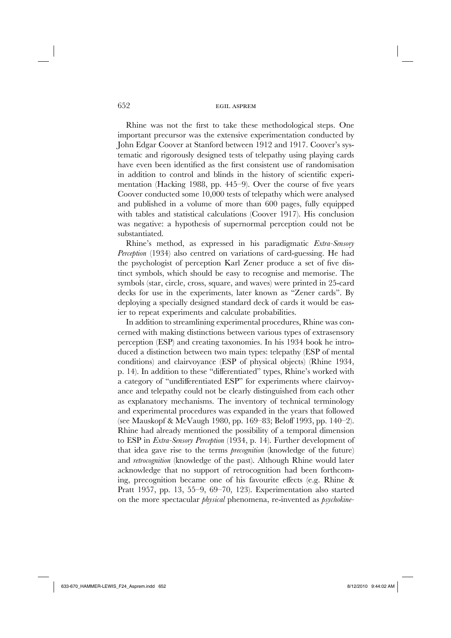Rhine was not the first to take these methodological steps. One important precursor was the extensive experimentation conducted by John Edgar Coover at Stanford between 1912 and 1917. Coover's systematic and rigorously designed tests of telepathy using playing cards have even been identified as the first consistent use of randomisation in addition to control and blinds in the history of scientific experimentation (Hacking 1988, pp. 445–9). Over the course of five years Coover conducted some 10,000 tests of telepathy which were analysed and published in a volume of more than 600 pages, fully equipped with tables and statistical calculations (Coover 1917). His conclusion was negative: a hypothesis of supernormal perception could not be substantiated.

Rhine's method, as expressed in his paradigmatic *Extra-Sensory Perception* (1934) also centred on variations of card-guessing. He had the psychologist of perception Karl Zener produce a set of five distinct symbols, which should be easy to recognise and memorise. The symbols (star, circle, cross, square, and waves) were printed in 25-card decks for use in the experiments, later known as "Zener cards". By deploying a specially designed standard deck of cards it would be easier to repeat experiments and calculate probabilities.

In addition to streamlining experimental procedures, Rhine was concerned with making distinctions between various types of extrasensory perception (ESP) and creating taxonomies. In his 1934 book he introduced a distinction between two main types: telepathy (ESP of mental conditions) and clairvoyance (ESP of physical objects) (Rhine 1934, p. 14). In addition to these "differentiated" types, Rhine's worked with a category of "undifferentiated ESP" for experiments where clairvoyance and telepathy could not be clearly distinguished from each other as explanatory mechanisms. The inventory of technical terminology and experimental procedures was expanded in the years that followed (see Mauskopf & McVaugh 1980, pp. 169–83; Beloff 1993, pp. 140–2). Rhine had already mentioned the possibility of a temporal dimension to ESP in *Extra-Sensory Perception* (1934, p. 14). Further development of that idea gave rise to the terms *precognition* (knowledge of the future) and *retrocognition* (knowledge of the past). Although Rhine would later acknowledge that no support of retrocognition had been forthcoming, precognition became one of his favourite effects (e.g. Rhine & Pratt 1957, pp. 13, 55–9, 69–70, 123). Experimentation also started on the more spectacular *physical* phenomena, re-invented as *psychokine-*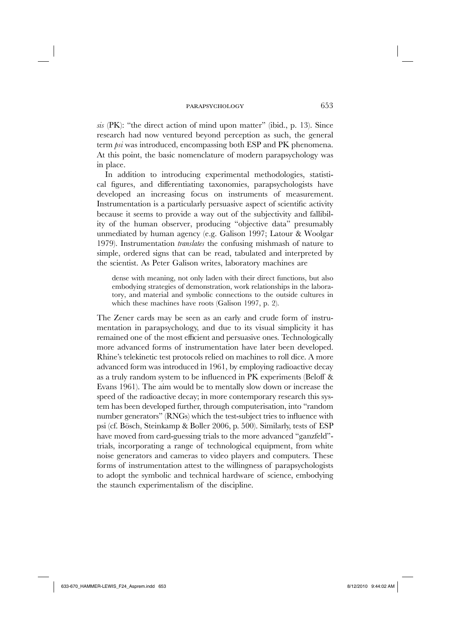*sis* (PK): "the direct action of mind upon matter" (ibid., p. 13). Since research had now ventured beyond perception as such, the general term *psi* was introduced, encompassing both ESP and PK phenomena. At this point, the basic nomenclature of modern parapsychology was in place.

In addition to introducing experimental methodologies, statistical figures, and differentiating taxonomies, parapsychologists have developed an increasing focus on instruments of measurement. Instrumentation is a particularly persuasive aspect of scientific activity because it seems to provide a way out of the subjectivity and fallibility of the human observer, producing "objective data" presumably unmediated by human agency (e.g. Galison 1997; Latour & Woolgar 1979). Instrumentation *translates* the confusing mishmash of nature to simple, ordered signs that can be read, tabulated and interpreted by the scientist. As Peter Galison writes, laboratory machines are

dense with meaning, not only laden with their direct functions, but also embodying strategies of demonstration, work relationships in the laboratory, and material and symbolic connections to the outside cultures in which these machines have roots (Galison 1997, p. 2).

The Zener cards may be seen as an early and crude form of instrumentation in parapsychology, and due to its visual simplicity it has remained one of the most efficient and persuasive ones. Technologically more advanced forms of instrumentation have later been developed. Rhine's telekinetic test protocols relied on machines to roll dice. A more advanced form was introduced in 1961, by employing radioactive decay as a truly random system to be influenced in PK experiments (Beloff & Evans 1961). The aim would be to mentally slow down or increase the speed of the radioactive decay; in more contemporary research this system has been developed further, through computerisation, into "random number generators" (RNGs) which the test-subject tries to influence with psi (cf. Bösch, Steinkamp & Boller 2006, p. 500). Similarly, tests of ESP have moved from card-guessing trials to the more advanced "ganzfeld" trials, incorporating a range of technological equipment, from white noise generators and cameras to video players and computers. These forms of instrumentation attest to the willingness of parapsychologists to adopt the symbolic and technical hardware of science, embodying the staunch experimentalism of the discipline.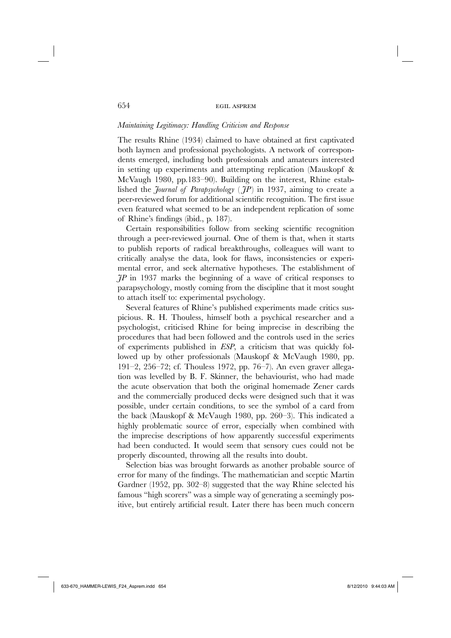#### *Maintaining Legitimacy: Handling Criticism and Response*

The results Rhine (1934) claimed to have obtained at first captivated both laymen and professional psychologists. A network of correspondents emerged, including both professionals and amateurs interested in setting up experiments and attempting replication (Mauskopf & McVaugh 1980, pp.183–90). Building on the interest, Rhine established the *Journal of Parapsychology* ( *JP* ) in 1937, aiming to create a peer-reviewed forum for additional scientific recognition. The first issue even featured what seemed to be an independent replication of some of Rhine's findings (ibid., p. 187).

Certain responsibilities follow from seeking scientific recognition through a peer-reviewed journal. One of them is that, when it starts to publish reports of radical breakthroughs, colleagues will want to critically analyse the data, look for flaws, inconsistencies or experimental error, and seek alternative hypotheses. The establishment of *JP* in 1937 marks the beginning of a wave of critical responses to parapsychology, mostly coming from the discipline that it most sought to attach itself to: experimental psychology.

Several features of Rhine's published experiments made critics suspicious. R. H. Thouless, himself both a psychical researcher and a psychologist, criticised Rhine for being imprecise in describing the procedures that had been followed and the controls used in the series of experiments published in *ESP*, a criticism that was quickly followed up by other professionals (Mauskopf & McVaugh 1980, pp. 191–2, 256–72; cf. Thouless 1972, pp. 76–7). An even graver allegation was levelled by B. F. Skinner, the behaviourist, who had made the acute observation that both the original homemade Zener cards and the commercially produced decks were designed such that it was possible, under certain conditions, to see the symbol of a card from the back (Mauskopf & McVaugh 1980, pp. 260–3). This indicated a highly problematic source of error, especially when combined with the imprecise descriptions of how apparently successful experiments had been conducted. It would seem that sensory cues could not be properly discounted, throwing all the results into doubt.

Selection bias was brought forwards as another probable source of error for many of the findings. The mathematician and sceptic Martin Gardner (1952, pp. 302–8) suggested that the way Rhine selected his famous "high scorers" was a simple way of generating a seemingly positive, but entirely artificial result. Later there has been much concern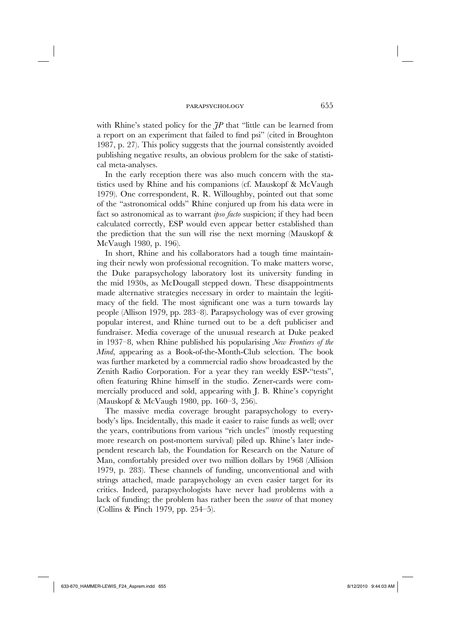with Rhine's stated policy for the *JP* that "little can be learned from a report on an experiment that failed to find psi" (cited in Broughton 1987, p. 27). This policy suggests that the journal consistently avoided publishing negative results, an obvious problem for the sake of statistical meta-analyses.

In the early reception there was also much concern with the statistics used by Rhine and his companions (cf. Mauskopf & McVaugh 1979). One correspondent, R. R. Willoughby, pointed out that some of the "astronomical odds" Rhine conjured up from his data were in fact so astronomical as to warrant *ipso facto* suspicion; if they had been calculated correctly, ESP would even appear better established than the prediction that the sun will rise the next morning (Mauskopf & McVaugh 1980, p. 196).

In short, Rhine and his collaborators had a tough time maintaining their newly won professional recognition. To make matters worse, the Duke parapsychology laboratory lost its university funding in the mid 1930s, as McDougall stepped down. These disappointments made alternative strategies necessary in order to maintain the legitimacy of the field. The most significant one was a turn towards lay people (Allison 1979, pp. 283–8). Parapsychology was of ever growing popular interest, and Rhine turned out to be a deft publiciser and fundraiser. Media coverage of the unusual research at Duke peaked in 1937–8, when Rhine published his popularising *New Frontiers of the Mind*, appearing as a Book-of-the-Month-Club selection. The book was further marketed by a commercial radio show broadcasted by the Zenith Radio Corporation. For a year they ran weekly ESP-"tests", often featuring Rhine himself in the studio. Zener-cards were commercially produced and sold, appearing with J. B. Rhine's copyright (Mauskopf & McVaugh 1980, pp. 160–3, 256).

The massive media coverage brought parapsychology to everybody's lips. Incidentally, this made it easier to raise funds as well; over the years, contributions from various "rich uncles" (mostly requesting more research on post-mortem survival) piled up. Rhine's later independent research lab, the Foundation for Research on the Nature of Man, comfortably presided over two million dollars by 1968 (Allision 1979, p. 283). These channels of funding, unconventional and with strings attached, made parapsychology an even easier target for its critics. Indeed, parapsychologists have never had problems with a lack of funding; the problem has rather been the *source* of that money (Collins & Pinch 1979, pp. 254–5).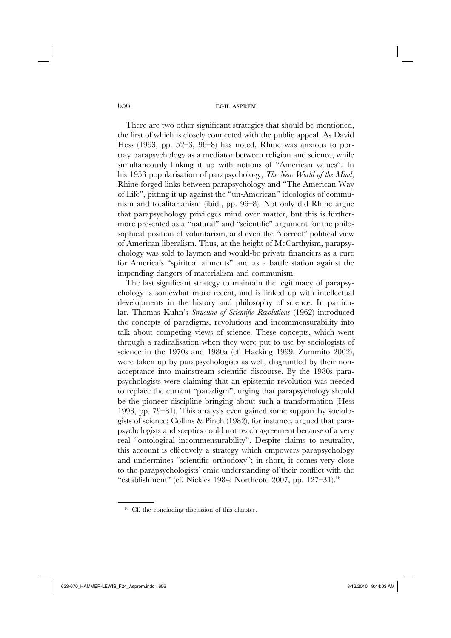## 656 egil asprem

There are two other significant strategies that should be mentioned, the first of which is closely connected with the public appeal. As David Hess (1993, pp. 52–3, 96–8) has noted, Rhine was anxious to portray parapsychology as a mediator between religion and science, while simultaneously linking it up with notions of "American values". In his 1953 popularisation of parapsychology, *The New World of the Mind*, Rhine forged links between parapsychology and "The American Way of Life", pitting it up against the "un-American" ideologies of communism and totalitarianism (ibid., pp. 96–8). Not only did Rhine argue that parapsychology privileges mind over matter, but this is furthermore presented as a "natural" and "scientific" argument for the philosophical position of voluntarism, and even the "correct" political view of American liberalism. Thus, at the height of McCarthyism, parapsychology was sold to laymen and would-be private financiers as a cure for America's "spiritual ailments" and as a battle station against the impending dangers of materialism and communism.

The last significant strategy to maintain the legitimacy of parapsychology is somewhat more recent, and is linked up with intellectual developments in the history and philosophy of science. In particular, Thomas Kuhn's *Structure of Scientific Revolutions* (1962) introduced the concepts of paradigms, revolutions and incommensurability into talk about competing views of science. These concepts, which went through a radicalisation when they were put to use by sociologists of science in the 1970s and 1980a (cf. Hacking 1999, Zummito 2002), were taken up by parapsychologists as well, disgruntled by their nonacceptance into mainstream scientific discourse. By the 1980s parapsychologists were claiming that an epistemic revolution was needed to replace the current "paradigm", urging that parapsychology should be the pioneer discipline bringing about such a transformation (Hess 1993, pp. 79–81). This analysis even gained some support by sociologists of science; Collins & Pinch (1982), for instance, argued that parapsychologists and sceptics could not reach agreement because of a very real "ontological incommensurability". Despite claims to neutrality, this account is effectively a strategy which empowers parapsychology and undermines "scientific orthodoxy"; in short, it comes very close to the parapsychologists' emic understanding of their conflict with the "establishment" (cf. Nickles 1984; Northcote 2007, pp.  $127-31$ ).<sup>16</sup>

<sup>&</sup>lt;sup>16</sup> Cf. the concluding discussion of this chapter.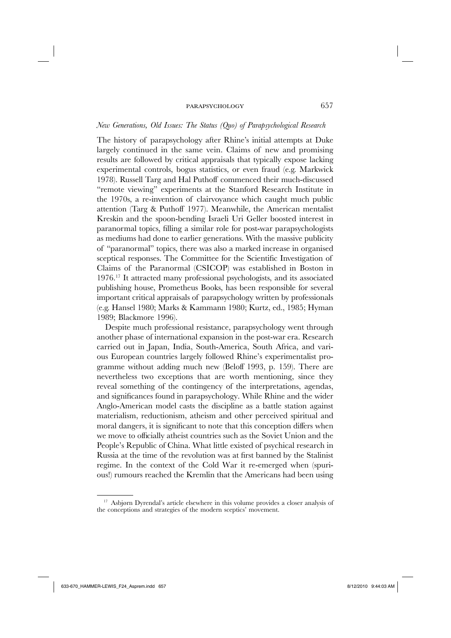#### *New Generations, Old Issues: The Status (Quo) of Parapsychological Research*

The history of parapsychology after Rhine's initial attempts at Duke largely continued in the same vein. Claims of new and promising results are followed by critical appraisals that typically expose lacking experimental controls, bogus statistics, or even fraud (e.g. Markwick 1978). Russell Targ and Hal Puthoff commenced their much-discussed "remote viewing" experiments at the Stanford Research Institute in the 1970s, a re-invention of clairvoyance which caught much public attention (Targ & Puthoff 1977). Meanwhile, the American mentalist Kreskin and the spoon-bending Israeli Uri Geller boosted interest in paranormal topics, filling a similar role for post-war parapsychologists as mediums had done to earlier generations. With the massive publicity of "paranormal" topics, there was also a marked increase in organised sceptical responses. The Committee for the Scientific Investigation of Claims of the Paranormal (CSICOP) was established in Boston in 1976.17 It attracted many professional psychologists, and its associated publishing house, Prometheus Books, has been responsible for several important critical appraisals of parapsychology written by professionals (e.g. Hansel 1980; Marks & Kammann 1980; Kurtz, ed., 1985; Hyman 1989; Blackmore 1996).

Despite much professional resistance, parapsychology went through another phase of international expansion in the post-war era. Research carried out in Japan, India, South-America, South Africa, and various European countries largely followed Rhine's experimentalist programme without adding much new (Beloff 1993, p. 159). There are nevertheless two exceptions that are worth mentioning, since they reveal something of the contingency of the interpretations, agendas, and significances found in parapsychology. While Rhine and the wider Anglo-American model casts the discipline as a battle station against materialism, reductionism, atheism and other perceived spiritual and moral dangers, it is significant to note that this conception differs when we move to officially atheist countries such as the Soviet Union and the People's Republic of China. What little existed of psychical research in Russia at the time of the revolution was at first banned by the Stalinist regime. In the context of the Cold War it re-emerged when (spurious!) rumours reached the Kremlin that the Americans had been using

<sup>17</sup> Asbjørn Dyrendal's article elsewhere in this volume provides a closer analysis of the conceptions and strategies of the modern sceptics' movement.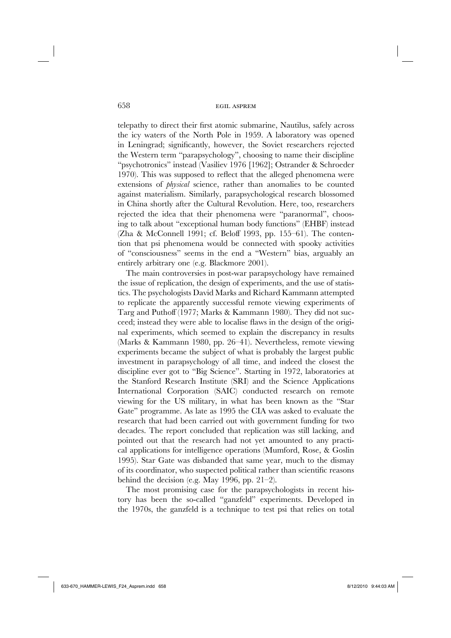## 658 egil asprem

telepathy to direct their first atomic submarine, Nautilus, safely across the icy waters of the North Pole in 1959. A laboratory was opened in Leningrad; significantly, however, the Soviet researchers rejected the Western term "parapsychology", choosing to name their discipline "psychotronics" instead (Vasiliev 1976 [1962]; Ostrander & Schroeder 1970). This was supposed to reflect that the alleged phenomena were extensions of *physical* science, rather than anomalies to be counted against materialism. Similarly, parapsychological research blossomed in China shortly after the Cultural Revolution. Here, too, researchers rejected the idea that their phenomena were "paranormal", choosing to talk about "exceptional human body functions" (EHBF) instead (Zha & McConnell 1991; cf. Beloff 1993, pp. 155–61). The contention that psi phenomena would be connected with spooky activities of "consciousness" seems in the end a "Western" bias, arguably an entirely arbitrary one (e.g. Blackmore 2001).

The main controversies in post-war parapsychology have remained the issue of replication, the design of experiments, and the use of statistics. The psychologists David Marks and Richard Kammann attempted to replicate the apparently successful remote viewing experiments of Targ and Puthoff (1977; Marks & Kammann 1980). They did not succeed; instead they were able to localise flaws in the design of the original experiments, which seemed to explain the discrepancy in results (Marks & Kammann 1980, pp. 26–41). Nevertheless, remote viewing experiments became the subject of what is probably the largest public investment in parapsychology of all time, and indeed the closest the discipline ever got to "Big Science". Starting in 1972, laboratories at the Stanford Research Institute (SRI) and the Science Applications International Corporation (SAIC) conducted research on remote viewing for the US military, in what has been known as the "Star Gate" programme. As late as 1995 the CIA was asked to evaluate the research that had been carried out with government funding for two decades. The report concluded that replication was still lacking, and pointed out that the research had not yet amounted to any practical applications for intelligence operations (Mumford, Rose, & Goslin 1995). Star Gate was disbanded that same year, much to the dismay of its coordinator, who suspected political rather than scientific reasons behind the decision (e.g. May 1996, pp.  $21-2$ ).

The most promising case for the parapsychologists in recent history has been the so-called "ganzfeld" experiments. Developed in the 1970s, the ganzfeld is a technique to test psi that relies on total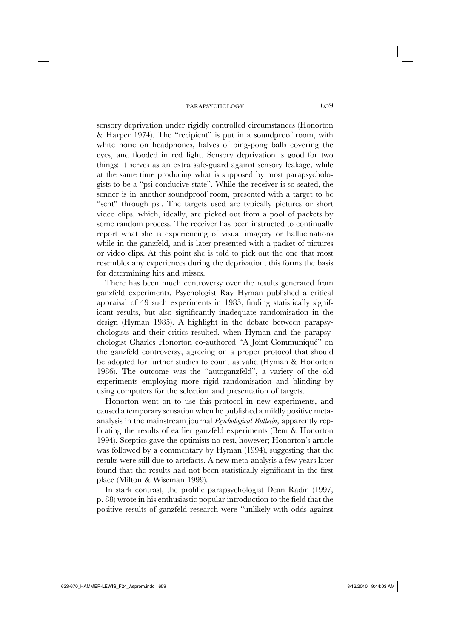sensory deprivation under rigidly controlled circumstances (Honorton & Harper 1974). The "recipient" is put in a soundproof room, with white noise on headphones, halves of ping-pong balls covering the eyes, and flooded in red light. Sensory deprivation is good for two things: it serves as an extra safe-guard against sensory leakage, while at the same time producing what is supposed by most parapsychologists to be a "psi-conducive state". While the receiver is so seated, the sender is in another soundproof room, presented with a target to be "sent" through psi. The targets used are typically pictures or short video clips, which, ideally, are picked out from a pool of packets by some random process. The receiver has been instructed to continually report what she is experiencing of visual imagery or hallucinations while in the ganzfeld, and is later presented with a packet of pictures or video clips. At this point she is told to pick out the one that most resembles any experiences during the deprivation; this forms the basis for determining hits and misses.

There has been much controversy over the results generated from ganzfeld experiments. Psychologist Ray Hyman published a critical appraisal of 49 such experiments in 1985, finding statistically significant results, but also significantly inadequate randomisation in the design (Hyman 1985). A highlight in the debate between parapsychologists and their critics resulted, when Hyman and the parapsychologist Charles Honorton co-authored "A Joint Communiqué" on the ganzfeld controversy, agreeing on a proper protocol that should be adopted for further studies to count as valid (Hyman & Honorton 1986). The outcome was the "autoganzfeld", a variety of the old experiments employing more rigid randomisation and blinding by using computers for the selection and presentation of targets.

Honorton went on to use this protocol in new experiments, and caused a temporary sensation when he published a mildly positive metaanalysis in the mainstream journal *Psychological Bulletin*, apparently replicating the results of earlier ganzfeld experiments (Bem & Honorton 1994). Sceptics gave the optimists no rest, however; Honorton's article was followed by a commentary by Hyman (1994), suggesting that the results were still due to artefacts. A new meta-analysis a few years later found that the results had not been statistically significant in the first place (Milton & Wiseman 1999).

In stark contrast, the prolific parapsychologist Dean Radin (1997, p. 88) wrote in his enthusiastic popular introduction to the field that the positive results of ganzfeld research were "unlikely with odds against

633-670\_HAMMER-LEWIS\_F24\_Asprem.indd 659 33-670 334-670 334-670 334-670 401 333-670 HAMMER-LEWIS\_F24\_Asprem.indd 859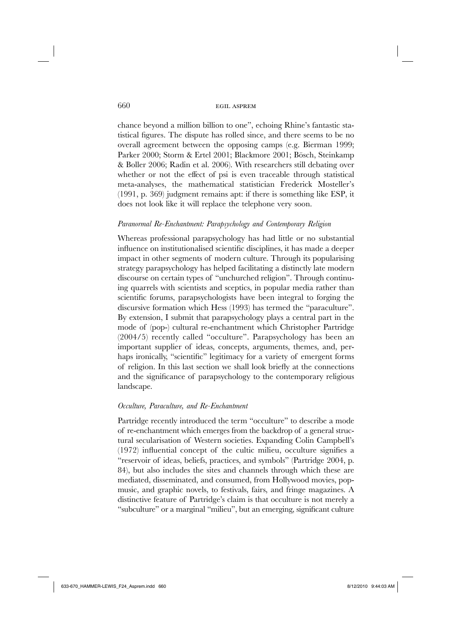# 660 egil asprem

chance beyond a million billion to one", echoing Rhine's fantastic statistical figures. The dispute has rolled since, and there seems to be no overall agreement between the opposing camps (e.g. Bierman 1999; Parker 2000; Storm & Ertel 2001; Blackmore 2001; Bösch, Steinkamp & Boller 2006; Radin et al. 2006). With researchers still debating over whether or not the effect of psi is even traceable through statistical meta-analyses, the mathematical statistician Frederick Mosteller's (1991, p. 369) judgment remains apt: if there is something like ESP, it does not look like it will replace the telephone very soon.

#### *Paranormal Re-Enchantment: Parapsychology and Contemporary Religion*

Whereas professional parapsychology has had little or no substantial influence on institutionalised scientific disciplines, it has made a deeper impact in other segments of modern culture. Through its popularising strategy parapsychology has helped facilitating a distinctly late modern discourse on certain types of "unchurched religion". Through continuing quarrels with scientists and sceptics, in popular media rather than scientific forums, parapsychologists have been integral to forging the discursive formation which Hess (1993) has termed the "paraculture". By extension, I submit that parapsychology plays a central part in the mode of (pop-) cultural re-enchantment which Christopher Partridge (2004/5) recently called "occulture". Parapsychology has been an important supplier of ideas, concepts, arguments, themes, and, perhaps ironically, "scientific" legitimacy for a variety of emergent forms of religion. In this last section we shall look briefly at the connections and the significance of parapsychology to the contemporary religious landscape.

#### *Occulture, Paraculture, and Re-Enchantment*

Partridge recently introduced the term "occulture" to describe a mode of re-enchantment which emerges from the backdrop of a general structural secularisation of Western societies. Expanding Colin Campbell's (1972) influential concept of the cultic milieu, occulture signifies a "reservoir of ideas, beliefs, practices, and symbols" (Partridge 2004, p. 84), but also includes the sites and channels through which these are mediated, disseminated, and consumed, from Hollywood movies, popmusic, and graphic novels, to festivals, fairs, and fringe magazines. A distinctive feature of Partridge's claim is that occulture is not merely a "subculture" or a marginal "milieu", but an emerging, significant culture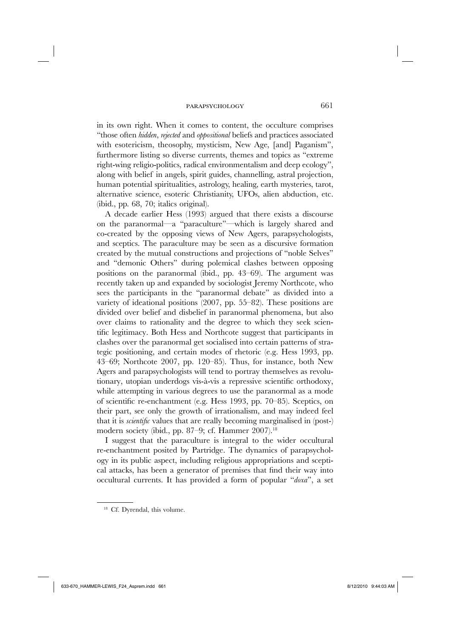in its own right. When it comes to content, the occulture comprises "those often *hidden*, *rejected* and *oppositional* beliefs and practices associated with esotericism, theosophy, mysticism, New Age, [and] Paganism", furthermore listing so diverse currents, themes and topics as "extreme right-wing religio-politics, radical environmentalism and deep ecology", along with belief in angels, spirit guides, channelling, astral projection, human potential spiritualities, astrology, healing, earth mysteries, tarot, alternative science, esoteric Christianity, UFOs, alien abduction, etc. (ibid., pp. 68, 70; italics original).

A decade earlier Hess (1993) argued that there exists a discourse on the paranormal—a "paraculture"—which is largely shared and co-created by the opposing views of New Agers, parapsychologists, and sceptics. The paraculture may be seen as a discursive formation created by the mutual constructions and projections of "noble Selves" and "demonic Others" during polemical clashes between opposing positions on the paranormal (ibid., pp. 43–69). The argument was recently taken up and expanded by sociologist Jeremy Northcote, who sees the participants in the "paranormal debate" as divided into a variety of ideational positions (2007, pp. 55–82). These positions are divided over belief and disbelief in paranormal phenomena, but also over claims to rationality and the degree to which they seek scientific legitimacy. Both Hess and Northcote suggest that participants in clashes over the paranormal get socialised into certain patterns of strategic positioning, and certain modes of rhetoric (e.g. Hess 1993, pp. 43–69; Northcote 2007, pp. 120–85). Thus, for instance, both New Agers and parapsychologists will tend to portray themselves as revolutionary, utopian underdogs vis-à-vis a repressive scientific orthodoxy, while attempting in various degrees to use the paranormal as a mode of scientific re-enchantment (e.g. Hess 1993, pp. 70–85). Sceptics, on their part, see only the growth of irrationalism, and may indeed feel that it is *scientific* values that are really becoming marginalised in (post-) modern society (ibid., pp. 87–9; cf. Hammer 2007).<sup>18</sup>

I suggest that the paraculture is integral to the wider occultural re-enchantment posited by Partridge. The dynamics of parapsychology in its public aspect, including religious appropriations and sceptical attacks, has been a generator of premises that find their way into occultural currents. It has provided a form of popular "*doxa*", a set

<sup>&</sup>lt;sup>18</sup> Cf. Dyrendal, this volume.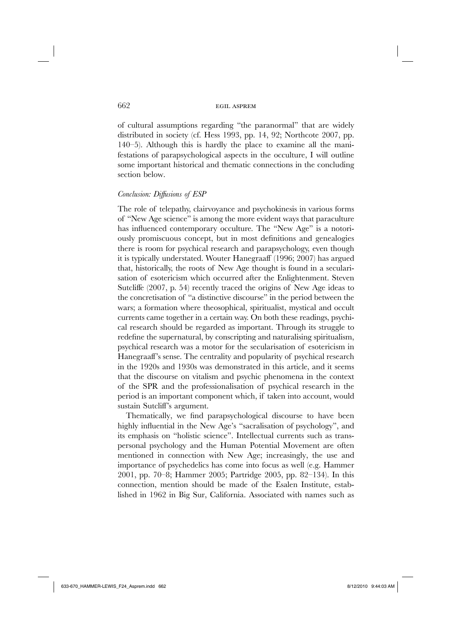## 662 egil asprem

of cultural assumptions regarding "the paranormal" that are widely distributed in society (cf. Hess 1993, pp. 14, 92; Northcote 2007, pp. 140–5). Although this is hardly the place to examine all the manifestations of parapsychological aspects in the occulture, I will outline some important historical and thematic connections in the concluding section below.

## *Conclusion: Diffusions of ESP*

The role of telepathy, clairvoyance and psychokinesis in various forms of "New Age science" is among the more evident ways that paraculture has influenced contemporary occulture. The "New Age" is a notoriously promiscuous concept, but in most definitions and genealogies there is room for psychical research and parapsychology, even though it is typically understated. Wouter Hanegraaff (1996; 2007) has argued that, historically, the roots of New Age thought is found in a secularisation of esotericism which occurred after the Enlightenment. Steven Sutcliffe (2007, p. 54) recently traced the origins of New Age ideas to the concretisation of "a distinctive discourse" in the period between the wars; a formation where theosophical, spiritualist, mystical and occult currents came together in a certain way. On both these readings, psychical research should be regarded as important. Through its struggle to redefine the supernatural, by conscripting and naturalising spiritualism, psychical research was a motor for the secularisation of esotericism in Hanegraaff's sense. The centrality and popularity of psychical research in the 1920s and 1930s was demonstrated in this article, and it seems that the discourse on vitalism and psychic phenomena in the context of the SPR and the professionalisation of psychical research in the period is an important component which, if taken into account, would sustain Sutcliff's argument.

Thematically, we find parapsychological discourse to have been highly influential in the New Age's "sacralisation of psychology", and its emphasis on "holistic science". Intellectual currents such as transpersonal psychology and the Human Potential Movement are often mentioned in connection with New Age; increasingly, the use and importance of psychedelics has come into focus as well (e.g. Hammer 2001, pp. 70–8; Hammer 2005; Partridge 2005, pp. 82–134). In this connection, mention should be made of the Esalen Institute, established in 1962 in Big Sur, California. Associated with names such as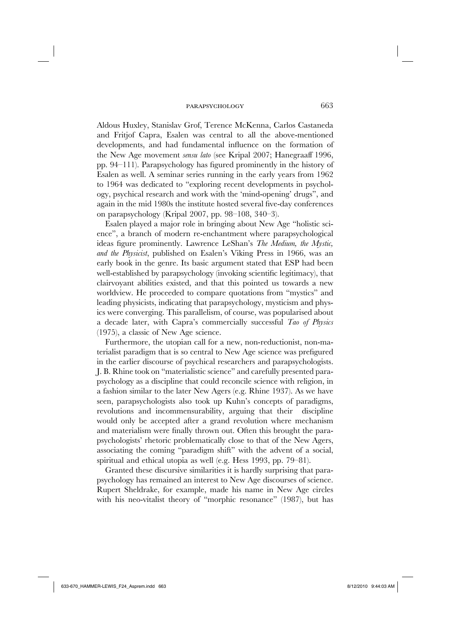Aldous Huxley, Stanislav Grof, Terence McKenna, Carlos Castaneda and Fritjof Capra, Esalen was central to all the above-mentioned developments, and had fundamental influence on the formation of the New Age movement *sensu lato* (see Kripal 2007; Hanegraaff 1996, pp. 94–111). Parapsychology has figured prominently in the history of Esalen as well. A seminar series running in the early years from 1962 to 1964 was dedicated to "exploring recent developments in psychology, psychical research and work with the 'mind-opening' drugs", and again in the mid 1980s the institute hosted several five-day conferences on parapsychology (Kripal 2007, pp. 98–108, 340–3).

Esalen played a major role in bringing about New Age "holistic science", a branch of modern re-enchantment where parapsychological ideas figure prominently. Lawrence LeShan's *The Medium, the Mystic, and the Physicist*, published on Esalen's Viking Press in 1966, was an early book in the genre. Its basic argument stated that ESP had been well-established by parapsychology (invoking scientific legitimacy), that clairvoyant abilities existed, and that this pointed us towards a new worldview. He proceeded to compare quotations from "mystics" and leading physicists, indicating that parapsychology, mysticism and physics were converging. This parallelism, of course, was popularised about a decade later, with Capra's commercially successful *Tao of Physics* (1975), a classic of New Age science.

Furthermore, the utopian call for a new, non-reductionist, non-materialist paradigm that is so central to New Age science was prefigured in the earlier discourse of psychical researchers and parapsychologists. J. B. Rhine took on "materialistic science" and carefully presented parapsychology as a discipline that could reconcile science with religion, in a fashion similar to the later New Agers (e.g. Rhine 1937). As we have seen, parapsychologists also took up Kuhn's concepts of paradigms, revolutions and incommensurability, arguing that their discipline would only be accepted after a grand revolution where mechanism and materialism were finally thrown out. Often this brought the parapsychologists' rhetoric problematically close to that of the New Agers, associating the coming "paradigm shift" with the advent of a social, spiritual and ethical utopia as well (e.g. Hess 1993, pp. 79–81).

Granted these discursive similarities it is hardly surprising that parapsychology has remained an interest to New Age discourses of science. Rupert Sheldrake, for example, made his name in New Age circles with his neo-vitalist theory of "morphic resonance" (1987), but has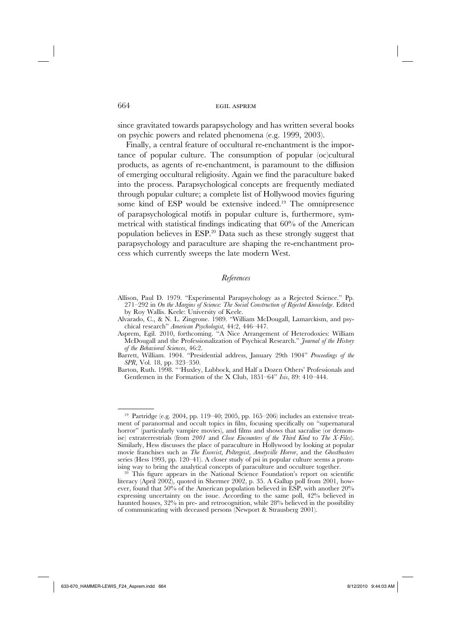since gravitated towards parapsychology and has written several books on psychic powers and related phenomena (e.g. 1999, 2003).

Finally, a central feature of occultural re-enchantment is the importance of popular culture. The consumption of popular (oc)cultural products, as agents of re-enchantment, is paramount to the diffusion of emerging occultural religiosity. Again we find the paraculture baked into the process. Parapsychological concepts are frequently mediated through popular culture; a complete list of Hollywood movies figuring some kind of ESP would be extensive indeed.<sup>19</sup> The omnipresence of parapsychological motifs in popular culture is, furthermore, symmetrical with statistical findings indicating that 60% of the American population believes in ESP.20 Data such as these strongly suggest that parapsychology and paraculture are shaping the re-enchantment process which currently sweeps the late modern West.

## *References*

Allison, Paul D. 1979. "Experimental Parapsychology as a Rejected Science." Pp. 271–292 in *On the Margins of Science: The Social Construction of Rejected Knowledge*. Edited by Roy Wallis. Keele: University of Keele.

Alvarado, C., & N. L. Zingrone. 1989. "William McDougall, Lamarckism, and psychical research" *American Psychologist*, 44:2, 446–447.

Asprem, Egil. 2010, forthcoming. "A Nice Arrangement of Heterodoxies: William McDougall and the Professionalization of Psychical Research." *Journal of the History of the Behavioral Sciences*, 46:2.

Barrett, William. 1904. "Presidential address, January 29th 1904" *Proceedings of the SPR*, Vol. 18, pp. 323–350.

Barton, Ruth. 1998. " 'Huxley, Lubbock, and Half a Dozen Others' Professionals and Gentlemen in the Formation of the X Club, 1851–64" *Isis*, 89: 410–444.

<sup>19</sup> Partridge (e.g. 2004, pp. 119–40; 2005, pp. 165–206) includes an extensive treatment of paranormal and occult topics in film, focusing specifically on "supernatural horror" (particularly vampire movies), and films and shows that sacralise (or demonise) extraterrestrials (from *2001* and *Close Encounters of the Third Kind* to *The X-Files*). Similarly, Hess discusses the place of paraculture in Hollywood by looking at popular movie franchises such as *The Exorcist*, *Poltergeist*, *Ametyville Horror*, and the *Ghostbusters* series (Hess 1993, pp. 120–41). A closer study of psi in popular culture seems a prom-<br>ising way to bring the analytical concepts of paraculture and occulture together.

This figure appears in the National Science Foundation's report on scientific literacy (April 2002), quoted in Shermer 2002, p. 35. A Gallup poll from 2001, however, found that 50% of the American population believed in ESP, with another 20% expressing uncertainty on the issue. According to the same poll, 42% believed in haunted houses, 32% in pre- and retrocognition, while 28% believed in the possibility of communicating with deceased persons (Newport & Strausberg 2001).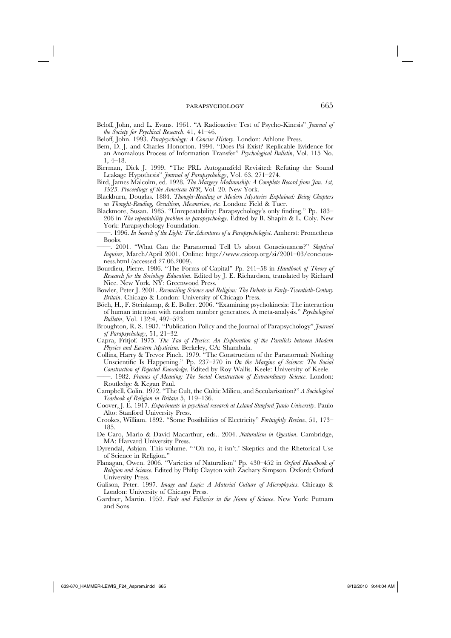Beloff, John, and L. Evans. 1961. "A Radioactive Test of Psycho-Kinesis" *Journal of the Society for Psychical Research*, 41, 41–46.

Beloff, John. 1993. *Parapsychology: A Concise History*. London: Athlone Press.

- Bem, D. J. and Charles Honorton. 1994. "Does Psi Exist? Replicable Evidence for an Anomalous Process of Information Transfer" *Psychological Bulletin*, Vol. 115 No. 1, 4–18.
- Bierman, Dick J. 1999. "The PRL Autoganzfeld Revisited: Refuting the Sound Leakage Hypothesis" *Journal of Parapsychology*, Vol. 63, 271–274.
- Bird, James Malcolm, ed. 1928. *The Margery Mediumship: A Complete Record from Jan. 1st, 1925*. *Proceedings of the American SPR*, Vol. 20. New York.
- Blackburn, Douglas. 1884. *Thought-Reading or Modern Mysteries Explained: Being Chapters on Thought-Reading, Occultism, Mesmerism, etc.* London: Field & Tuer.
- Blackmore, Susan. 1985. "Unrepeatability: Parapsychology's only finding." Pp. 183– 206 in *The repeatability problem in parapsychology*. Edited by B. Shapin & L. Coly. New York: Parapsychology Foundation.

——. 1996. *In Search of the Light: The Adventures of a Parapsychologist*. Amherst: Prometheus Books.

- ——. 2001. "What Can the Paranormal Tell Us about Consciousness?" *Skeptical Inquirer*, March/April 2001. Online: http://www.csicop.org/si/2001–03/conciousness.html (accessed 27.06.2009).
- Bourdieu, Pierre. 1986. "The Forms of Capital" Pp. 241–58 in *Handbook of Theory of Research for the Sociology Education*. Edited by J. E. Richardson, translated by Richard Nice. New York, NY: Greenwood Press.
- Bowler, Peter J. 2001. *Reconciling Science and Religion: The Debate in Early-Twentieth-Century Britain*. Chicago & London: University of Chicago Press.
- Böch, H., F. Steinkamp, & E. Boller. 2006. "Examining psychokinesis: The interaction of human intention with random number generators. A meta-analysis." *Psychological Bulletin*, Vol. 132:4, 497–523.
- Broughton, R. S. 1987. "Publication Policy and the Journal of Parapsychology" *Journal of Parapsychology*, 51, 21–32.
- Capra, Fritjof. 1975. *The Tao of Physics: An Exploration of the Parallels between Modern Physics and Eastern Mysticism*. Berkeley, CA: Shambala.
- Collins, Harry & Trevor Pinch. 1979. "The Construction of the Paranormal: Nothing Unscientific Is Happening." Pp. 237–270 in *On the Margins of Science: The Social Construction of Rejected Knowledge*. Edited by Roy Wallis. Keele: University of Keele.
- ——. 1982. *Frames of Meaning: The Social Construction of Extraordinary Science*. London: Routledge & Kegan Paul.
- Campbell, Colin. 1972. "The Cult, the Cultic Milieu, and Secularisation?" *A Sociological Yearbook of Religion in Britain* 5, 119–136.
- Coover, J. E. 1917. *Experiments in psychical research at Leland Stanford Junio University*. Paulo Alto: Stanford University Press.
- Crookes, William. 1892. "Some Possibilities of Electricity" *Fortnightly Review*, 51, 173– 185.
- De Caro, Mario & David Macarthur, eds.. 2004. *Naturalism in Question*. Cambridge, MA: Harvard University Press.
- Dyrendal, Asbjøn. This volume. " 'Oh no, it isn't.' Skeptics and the Rhetorical Use of Science in Religion."
- Flanagan, Owen. 2006. "Varieties of Naturalism" Pp. 430–452 in *Oxford Handbook of Religion and Science*. Edited by Philip Clayton with Zachary Simpson. Oxford: Oxford University Press.
- Galison, Peter. 1997. *Image and Logic: A Material Culture of Microphysics*. Chicago & London: University of Chicago Press.
- Gardner, Martin. 1952. *Fads and Fallacies in the Name of Science*. New York: Putnam and Sons.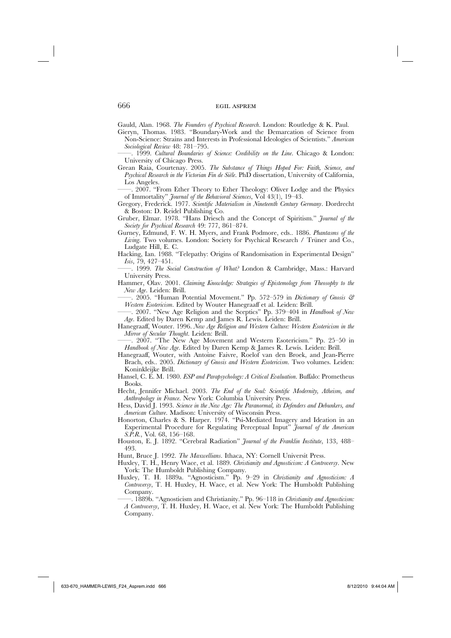Gauld, Alan. 1968. *The Founders of Psychical Research*. London: Routledge & K. Paul.

Gieryn, Thomas. 1983. "Boundary-Work and the Demarcation of Science from Non-Science: Strains and Interests in Professional Ideologies of Scientists." *American Sociological Review* 48: 781–795.

——. 1999. *Cultural Boundaries of Science: Credibility on the Line*. Chicago & London: University of Chicago Press.

Grean Raia, Courtenay. 2005. *The Substance of Things Hoped For: Faith, Science, and Psychical Research in the Victorian Fin de Sièle*. PhD dissertation, University of California, Los Angeles.

2007. "From Ether Theory to Ether Theology: Oliver Lodge and the Physics of Immortality" *Journal of the Behavioral Sciences*, Vol 43(1), 19–43.

Gregory, Frederick. 1977. *Scientific Materialism in Nineteenth Century Germany*. Dordrecht & Boston: D. Reidel Publishing Co.

Gruber, Elmar. 1978. "Hans Driesch and the Concept of Spiritism." *Journal of the Society for Psychical Research* 49: 777, 861–874.

- Gurney, Edmund, F. W. H. Myers, and Frank Podmore, eds.. 1886. *Phantasms of the Living*. Two volumes. London: Society for Psychical Research / Trüner and Co., Ludgate Hill, E. C.
- Hacking, Ian. 1988. "Telepathy: Origins of Randomisation in Experimental Design" *Isis*, 79, 427–451.

——. 1999. *The Social Construction of What?* London & Cambridge, Mass.: Harvard University Press.

Hammer, Olav. 2001. *Claiming Knowledge: Strategies of Epistemology from Theosophy to the New Age*. Leiden: Brill.

——. 2005. "Human Potential Movement." Pp. 572–579 in *Dictionary of Gnosis & Western Esotericism*. Edited by Wouter Hanegraaff et al. Leiden: Brill.

——. 2007. "New Age Religion and the Sceptics" Pp. 379–404 in *Handbook of New Age*. Edited by Daren Kemp and James R. Lewis. Leiden: Brill.

Hanegraaff, Wouter. 1996. *New Age Religion and Western Culture: Western Esotericism in the Mirror of Secular Thought*. Leiden: Brill.

——. 2007. "The New Age Movement and Western Esotericism." Pp. 25–50 in *Handbook of New Age*. Edited by Daren Kemp & James R. Lewis. Leiden: Brill.

- Hanegraaff, Wouter, with Antoine Faivre, Roelof van den Broek, and Jean-Pierre Brach, eds.. 2005. *Dictionary of Gnosis and Western Esotericism*. Two volumes. Leiden: Koninkleijke Brill.
- Hansel, C. E. M. 1980. *ESP and Parapsychology: A Critical Evaluation*. Buffalo: Prometheus Books.

Hecht, Jennifer Michael. 2003. *The End of the Soul: Scientific Modernity, Atheism, and Anthropology in France*. New York: Columbia University Press.

Hess, David J. 1993. *Science in the New Age: The Paranormal, its Defenders and Debunkers, and American Culture*. Madison: University of Wisconsin Press.

Honorton, Charles & S. Harper. 1974. "Psi-Mediated Imagery and Ideation in an Experimental Procedure for Regulating Perceptual Input" *Journal of the American S.P.R.*, Vol. 68, 156–168.

Houston, E. J. 1892. "Cerebral Radiation" *Journal of the Franklin Institute*, 133, 488– 493.

Hunt, Bruce J. 1992. *The Maxwellians*. Ithaca, NY: Cornell Universit Press.

Huxley, T. H., Henry Wace, et al. 1889. *Christianity and Agnosticism: A Controversy*. New York: The Humboldt Publishing Company.

Huxley, T. H. 1889a. "Agnosticism." Pp. 9–29 in *Christianity and Agnosticism: A Controversy*, T. H. Huxley, H. Wace, et al. New York: The Humboldt Publishing Company.

——. 1889b. "Agnosticism and Christianity." Pp. 96–118 in *Christianity and Agnosticism: A Controversy*, T. H. Huxley, H. Wace, et al. New York: The Humboldt Publishing Company.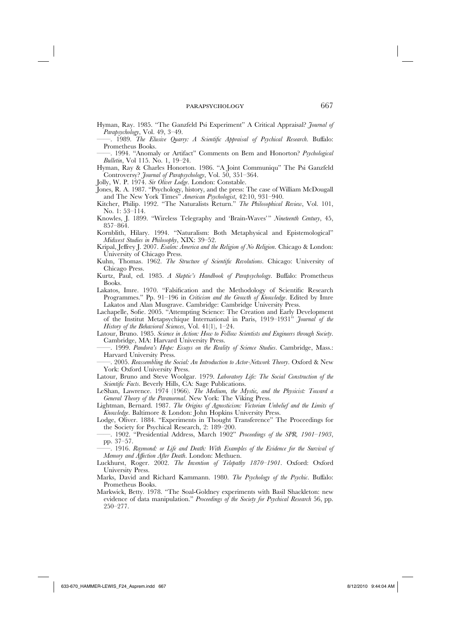Hyman, Ray. 1985. "The Ganzfeld Psi Experiment" A Critical Appraisal? *Journal of Parapsychology*, Vol. 49, 3–49.

——. 1989. *The Elusive Quarry: A Scientific Appraisal of Psychical Research*. Buffalo: Prometheus Books.

——. 1994. "Anomaly or Artifact" Comments on Bem and Honorton? *Psychological Bulletin*, Vol 115. No. 1, 19–24.

Hyman, Ray & Charles Honorton. 1986. "A Joint Communiqu" The Psi Ganzfeld Controversy? *Journal of Parapsychology*, Vol. 50, 351–364.

Jolly, W. P. 1974. *Sir Oliver Lodge*. London: Constable.

Jones, R. A. 1987. "Psychology, history, and the press: The case of William McDougall and The New York Times" *American Psychologist*, 42:10, 931–940.

Kitcher, Philip. 1992. "The Naturalists Return." *The Philosophical Review*, Vol. 101, No. 1: 53–114.

Knowles, J. 1899. "Wireless Telegraphy and 'Brain-Waves' " *Nineteenth Century*, 45, 857–864.

Kornblith, Hilary. 1994. "Naturalism: Both Metaphysical and Epistemological" *Midwest Studies in Philosophy*, XIX: 39–52.

Kripal, Jeffrey J. 2007. *Esalen: America and the Religion of No Religion*. Chicago & London: University of Chicago Press.

Kuhn, Thomas. 1962. *The Structure of Scientific Revolutions*. Chicago: University of Chicago Press.

Kurtz, Paul, ed. 1985. *A Skeptic's Handbook of Parapsychology*. Buffalo: Prometheus Books.

Lakatos, Imre. 1970. "Falsification and the Methodology of Scientific Research Programmes." Pp. 91–196 in *Criticism and the Growth of Knowledge*. Edited by Imre Lakatos and Alan Musgrave. Cambridge: Cambridge University Press.

Lachapelle, Sofie. 2005. "Attempting Science: The Creation and Early Development of the Institut Metapsychique International in Paris, 1919–1931" *Journal of the History of the Behavioral Sciences*, Vol. 41(1), 1–24.

Latour, Bruno. 1985. *Science in Action: How to Follow Scientists and Engineers through Society*. Cambridge, MA: Harvard University Press.

——. 1999. *Pandora's Hope: Essays on the Reality of Science Studies*. Cambridge, Mass.: Harvard University Press.

——. 2005. *Reassembling the Social: An Introduction to Actor-Network Theory*. Oxford & New York: Oxford University Press.

Latour, Bruno and Steve Woolgar. 1979. *Laboratory Life: The Social Construction of the Scientific Facts*. Beverly Hills, CA: Sage Publications.

LeShan, Lawrence. 1974 (1966). *The Medium, the Mystic, and the Physicist: Toward a General Theory of the Paranormal*. New York: The Viking Press.

Lightman, Bernard. 1987. *The Origins of Agnosticism: Victorian Unbelief and the Limits of Knowledge*. Baltimore & London: John Hopkins University Press.

Lodge, Oliver. 1884. "Experiments in Thought Transference" The Proceedings for the Society for Psychical Research, 2: 189–200.

——. 1902. "Presidential Address, March 1902" *Proceedings of the SPR, 1901–1903*, pp. 37–57.

——. 1916. *Raymond: or Life and Death: With Examples of the Evidence for the Survival of Memory and Affection After Death*. London: Methuen.

Luckhurst, Roger. 2002. *The Invention of Telepathy 1870–1901*. Oxford: Oxford University Press.

Marks, David and Richard Kammann. 1980. *The Psychology of the Psychic*. Buffalo: Prometheus Books.

Markwick, Betty. 1978. "The Soal-Goldney experiments with Basil Shackleton: new evidence of data manipulation." *Proceedings of the Society for Psychical Research* 56, pp. 250–277.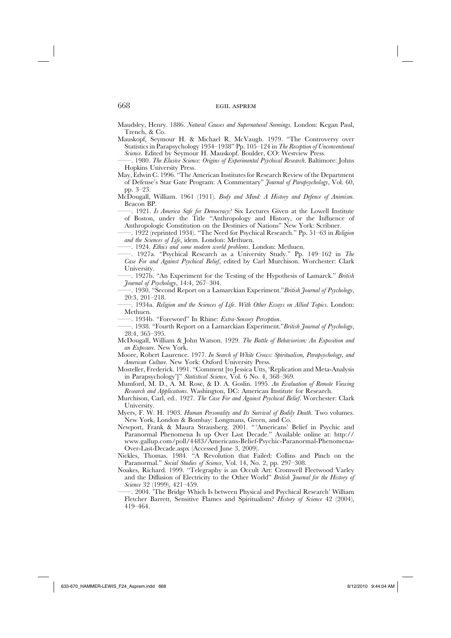### 668 egil asprem

Maudsley, Henry. 1886. *Natural Causes and Supernatural Seemings*. London: Kegan Paul, Trench, & Co.

Mauskopf, Seymour H. & Michael R. McVaugh. 1979. "The Controversy over Statistics in Parapsychology 1934–1938" Pp. 105–124 in *The Reception of Unconventional Science*. Edited by Seymour H. Mauskopf. Boulder, CO: Westview Press.

——. 1980. *The Elusive Science: Origins of Experimental Psychical Research*. Baltimore: Johns Hopkins University Press.

May, Edwin C. 1996. "The American Institutes for Research Review of the Department of Defense's Star Gate Program: A Commentary" *Journal of Parapsychology*, Vol. 60, pp. 3–23.

McDougall, William. 1961 (1911). *Body and Mind: A History and Defence of Animism*. Beacon BP.

——. 1921. *Is America Safe for Democracy?* Six Lectures Given at the Lowell Institute of Boston, under the Title "Anthropology and History, or the Influence of Anthropologic Constitution on the Destinies of Nations" New York: Scribner.

1922 (reprinted 1934). "The Need for Psychical Research." Pp. 51–63 in *Religion and the Sciences of Life*, idem. London: Methuen.

——. 1924. *Ethics and some modern world problems*. London: Methuen.

——. 1927a. "Psychical Research as a University Study." Pp. 149–162 in *The Case For and Against Psychical Belief*, edited by Carl Murchison. Worchester: Clark University.

——. 1927b. "An Experiment for the Testing of the Hypothesis of Lamarck." *British Journal of Psychology*, 14:4, 267–304.

——. 1930. "Second Report on a Lamarckian Experiment."*British Journal of Psychology*, 20:3, 201–218.

——. 1934a. *Religion and the Sciences of Life*. *With Other Essays on Allied Topics*. London: Methuen.

——. 1934b. "Foreword" In Rhine: *Extra-Sensory Perception*.

——. 1938. "Fourth Report on a Lamarckian Experiment."*British Journal of Psychology*, 28:4, 365–395.

McDougall, William & John Watson. 1929. *The Battle of Behaviorism: An Exposition and an Exposure*. New York.

Moore, Robert Laurence. 1977. *In Search of White Crows: Spiritualism, Parapsychology, and American Culture.* New York: Oxford University Press.

Mosteller, Frederick. 1991. "Comment [to Jessica Utts, 'Replication and Meta-Analysis in Parapsychology']" *Statistical Science*, Vol. 6 No. 4, 368–369.

- Mumford, M. D., A. M. Rose, & D. A. Goslin. 1995. *An Evaluation of Remote Viewing Research and Applications*. Washington, DC: American Institute for Research.
- Murchison, Carl, ed.. 1927. *The Case For and Against Psychical Belief*. Worchester: Clark University.

Myers, F. W. H. 1903. *Human Personality and Its Survival of Bodily Death*. Two volumes. New York, London & Bombay: Longmans, Green, and Co.

Newport, Frank & Maura Strausberg. 2001. " 'Americans' Belief in Psychic and Paranormal Phenomena Is up Over Last Decade." Available online at: http:// www.gallup.com/poll/4483/Americans-Belief-Psychic-Paranormal-Phenomena-Over-Last-Decade.aspx (Accessed June 3, 2009).

Nickles, Thomas. 1984. "A Revolution that Failed: Collins and Pinch on the Paranormal." *Social Studies of Science*, Vol. 14, No. 2, pp. 297–308.

Noakes, Richard. 1999. "Telegraphy is an Occult Art: Cromwell Fleetwood Varley and the Diffusion of Electricity to the Other World" *British Journal for the History of Science* 32 (1999), 421–459.

——. 2004. 'The Bridge Which Is between Physical and Psychical Research' William Fletcher Barrett, Sensitive Flames and Spiritualism? *History of Science* 42 (2004), 419–464.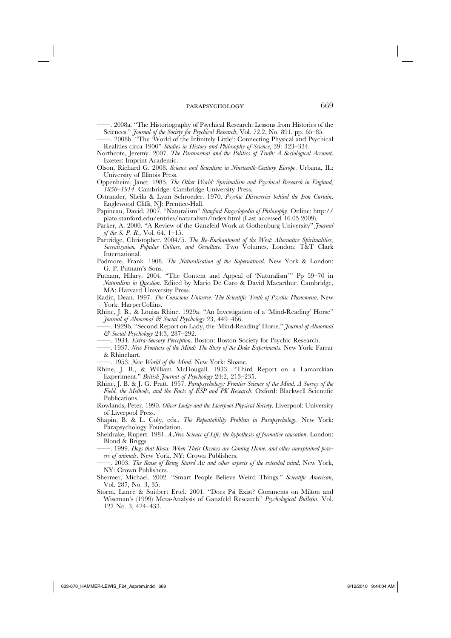——. 2008a. "The Historiography of Psychical Research: Lessons from Histories of the Sciences." *Journal of the Society for Psychical Research*, Vol. 72.2, No. 891, pp. 65–85.

——. 2008b. "The 'World of the Infinitely Little': Connecting Physical and Psychical Realities circa 1900" *Studies in History and Philosophy of Science*, 39: 323–334.

Northcote, Jeremy. 2007. *The Paranormal and the Politics of Truth: A Sociological Account*. Exeter: Imprint Academic.

Olson, Richard G. 2008. *Science and Scientism in Nineteenth-Century Europe*. Urbana, IL: University of Illinois Press.

Oppenheim, Janet. 1985. *The Other World: Spiritualism and Psychical Research in England, 1850–1914*. Cambridge: Cambridge University Press.

Ostrander, Sheila & Lynn Schroeder. 1970. *Psychic Discoveries behind the Iron Curtain*. Englewood Cliffs, NJ: Prentice-Hall.

Papineau, David. 2007. "Naturalism" *Stanford Encyclopedia of Philosophy*. Online: http:// plato.stanford.edu/entries/naturalism/index.html (Last accessed 16.05.2009).

Parker, A. 2000. "A Review of the Ganzfeld Work at Gothenburg University" *Journal of the S. P. R.*, Vol. 64, 1–15.

Partridge, Christopher. 2004/5. *The Re-Enchantment of the West: Alternative Spiritualities, Sacralization, Popular Culture, and Occulture.* Two Volumes. London: T&T Clark International.

Podmore, Frank. 1908. *The Naturalisation of the Supernatural*. New York & London: G. P. Putnam's Sons.

Putnam, Hilary. 2004. "The Content and Appeal of 'Naturalism'" Pp 59-70 in *Naturalism in Question*. Edited by Mario De Caro & David Macarthur. Cambridge, MA: Harvard University Press.

Radin, Dean. 1997. *The Conscious Universe: The Scientific Truth of Psychic Phenomena*. New York: HarperCollins.

Rhine, J. B., & Louisa Rhine. 1929a. "An Investigation of a 'Mind-Reading' Horse" *Journal of Abnormal & Social Psychology* 23, 449–466.

——. 1929b. "Second Report on Lady, the 'Mind-Reading' Horse." *Journal of Abnormal & Social Psychology* 24:3, 287–292.

1934. *Extra-Sensory Perception*. Boston: Boston Society for Psychic Research.

——. 1937. *New Frontiers of the Mind: The Story of the Duke Experiments*. New York: Farrar & Rhinehart.

——. 1953. *New World of the Mind*. New York: Sloane.

Rhine, J. B., & William McDougall. 1933. "Third Report on a Lamarckian Experiment." *British Journal of Psychology* 24:2, 213–235.

Rhine, J. B. & J. G. Pratt. 1957. *Parapsychology: Frontier Science of the Mind*. *A Survey of the Field, the Methods, and the Facts of ESP and PK Research*. Oxford: Blackwell Scientific Publications.

Rowlands, Peter. 1990. *Oliver Lodge and the Liverpool Physical Society*. Liverpool: University of Liverpool Press.

Shapin, B. & L. Coly, eds.. *The Repeatability Problem in Parapsychology*. New York: Parapsychology Foundation.

Sheldrake, Rupert. 1981. *A New Science of Life: the hypothesis of formative causation*. London: Blond & Briggs.

——. 1999. *Dogs that Know When Their Owners are Coming Home: and other unexplained powers of animals*. New York, NY: Crown Publishers.

——. 2003. *The Sense of Being Stared At: and other aspects of the extended mind*, New York, NY: Crown Publishers.

Shermer, Michael. 2002. "Smart People Believe Weird Things." *Scientific American*, Vol. 287, No. 3, 35.

Storm, Lance & Suitbert Ertel. 2001. "Does Psi Exist? Comments on Milton and Wiseman's (1999) Meta-Analysis of Ganzfeld Research" *Psychological Bulletin*, Vol. 127 No. 3, 424–433.